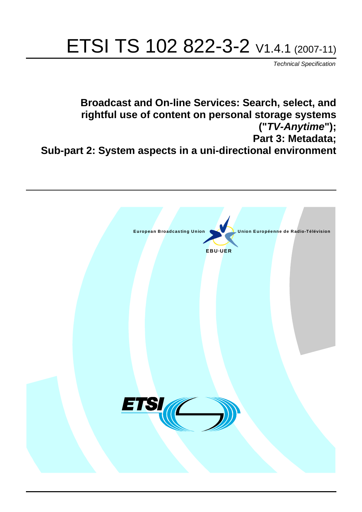# ETSI TS 102 822-3-2 V1.4.1 (2007-11)

*Technical Specification*

**Broadcast and On-line Services: Search, select, and rightful use of content on personal storage systems ("***TV-Anytime***"); Part 3: Metadata; Sub-part 2: System aspects in a uni-directional environment**

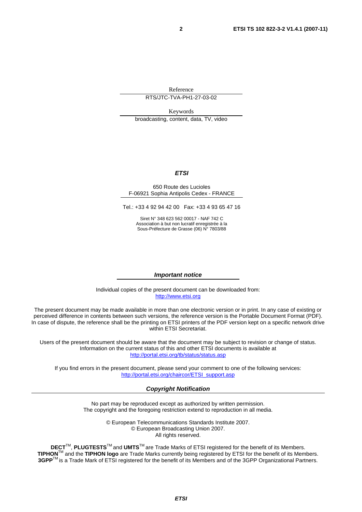Reference

RTS/JTC-TVA-PH1-27-03-02

Keywords

broadcasting, content, data, TV, video

#### *ETSI*

#### 650 Route des Lucioles F-06921 Sophia Antipolis Cedex - FRANCE

Tel.: +33 4 92 94 42 00 Fax: +33 4 93 65 47 16

Siret N° 348 623 562 00017 - NAF 742 C Association à but non lucratif enregistrée à la Sous-Préfecture de Grasse (06) N° 7803/88

#### *Important notice*

Individual copies of the present document can be downloaded from: [http://www.etsi.org](http://www.etsi.org/)

The present document may be made available in more than one electronic version or in print. In any case of existing or perceived difference in contents between such versions, the reference version is the Portable Document Format (PDF). In case of dispute, the reference shall be the printing on ETSI printers of the PDF version kept on a specific network drive within ETSI Secretariat.

Users of the present document should be aware that the document may be subject to revision or change of status. Information on the current status of this and other ETSI documents is available at <http://portal.etsi.org/tb/status/status.asp>

If you find errors in the present document, please send your comment to one of the following services: [http://portal.etsi.org/chaircor/ETSI\\_support.asp](http://portal.etsi.org/chaircor/ETSI_support.asp)

#### *Copyright Notification*

No part may be reproduced except as authorized by written permission. The copyright and the foregoing restriction extend to reproduction in all media.

> © European Telecommunications Standards Institute 2007. © European Broadcasting Union 2007. All rights reserved.

**DECT**TM, **PLUGTESTS**TM and **UMTS**TM are Trade Marks of ETSI registered for the benefit of its Members. **TIPHON**TM and the **TIPHON logo** are Trade Marks currently being registered by ETSI for the benefit of its Members. **3GPP**TM is a Trade Mark of ETSI registered for the benefit of its Members and of the 3GPP Organizational Partners.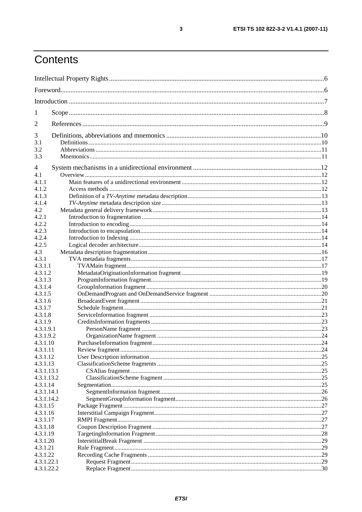# Contents

| 1              |  |
|----------------|--|
| $\overline{2}$ |  |
| 3              |  |
| 3.1            |  |
| 3.2<br>3.3     |  |
| 4              |  |
| 4.1            |  |
| 4.1.1          |  |
| 4.1.2          |  |
| 4.1.3          |  |
| 4.1.4          |  |
| 4.2            |  |
| 4.2.1          |  |
| 4.2.2          |  |
| 4.2.3          |  |
| 4.2.4          |  |
| 4.2.5          |  |
| 4.3            |  |
| 4.3.1          |  |
| 4.3.1.1        |  |
|                |  |
| 4.3.1.2        |  |
| 4.3.1.3        |  |
| 4.3.1.4        |  |
| 4.3.1.5        |  |
| 4.3.1.6        |  |
| 4.3.1.7        |  |
| 4.3.1.8        |  |
| 4.3.1.9        |  |
| 4.3.1.9.1      |  |
| 4.3.1.9.2      |  |
| 4.3.1.10       |  |
| 4.3.1.11       |  |
| 4.3.1.12       |  |
| 4.3.1.13       |  |
| 4.3.1.13.1     |  |
| 4.3.1.13.2     |  |
| 4.3.1.14       |  |
| 4.3.1.14.1     |  |
| 4.3.1.14.2     |  |
| 4.3.1.15       |  |
| 4.3.1.16       |  |
| 4.3.1.17       |  |
| 4.3.1.18       |  |
| 4.3.1.19       |  |
| 4.3.1.20       |  |
| 4.3.1.21       |  |
| 4.3.1.22       |  |
| 4.3.1.22.1     |  |
| 4.3.1.22.2     |  |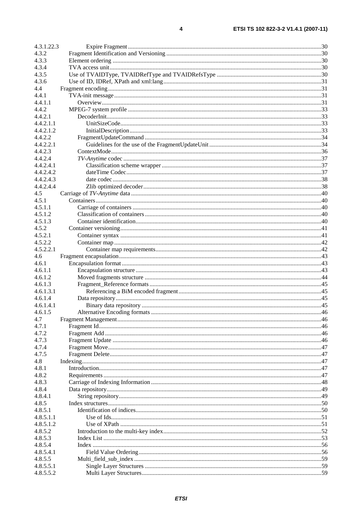| 4.3.1.22.3 |  |
|------------|--|
| 4.3.2      |  |
| 4.3.3      |  |
| 4.3.4      |  |
| 4.3.5      |  |
| 4.3.6      |  |
| 4.4        |  |
| 4.4.1      |  |
| 4.4.1.1    |  |
| 4.4.2      |  |
| 4.4.2.1    |  |
| 4.4.2.1.1  |  |
| 4.4.2.1.2  |  |
| 4.4.2.2    |  |
| 4.4.2.2.1  |  |
| 4.4.2.3    |  |
| 4.4.2.4    |  |
| 4.4.2.4.1  |  |
| 4.4.2.4.2  |  |
| 4.4.2.4.3  |  |
| 4.4.2.4.4  |  |
| 4.5        |  |
| 4.5.1      |  |
| 4.5.1.1    |  |
| 4.5.1.2    |  |
| 4.5.1.3    |  |
| 4.5.2      |  |
| 4.5.2.1    |  |
| 4.5.2.2    |  |
| 4.5.2.2.1  |  |
| 4.6        |  |
| 4.6.1      |  |
| 4.6.1.1    |  |
| 4.6.1.2    |  |
| 4.6.1.3    |  |
| 4.6.1.3.1  |  |
| 4.6.1.4    |  |
| 4.6.1.4.1  |  |
| 4.6.1.5    |  |
| 4.7        |  |
| 4.7.1      |  |
| 4.7.2      |  |
| 4.7.3      |  |
| 4.7.4      |  |
| 4.7.5      |  |
| 4.8        |  |
| 4.8.1      |  |
| 4.8.2      |  |
| 4.8.3      |  |
| 4.8.4      |  |
| 4.8.4.1    |  |
| 4.8.5      |  |
| 4.8.5.1    |  |
| 4.8.5.1.1  |  |
| 4.8.5.1.2  |  |
| 4.8.5.2    |  |
| 4.8.5.3    |  |
| 4.8.5.4    |  |
| 4.8.5.4.1  |  |
| 4.8.5.5    |  |
| 4.8.5.5.1  |  |
| 4.8.5.5.2  |  |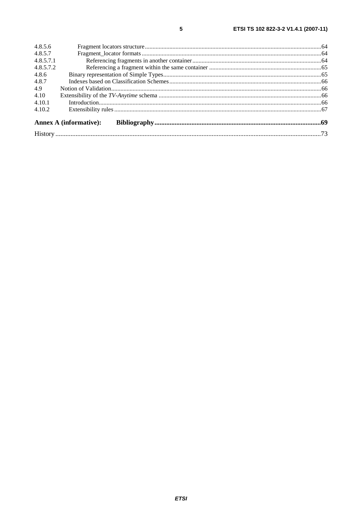| 4.8.5.6   |                               |  |
|-----------|-------------------------------|--|
| 4.8.5.7   |                               |  |
| 4.8.5.7.1 |                               |  |
| 4.8.5.7.2 |                               |  |
| 4.8.6     |                               |  |
| 4.8.7     |                               |  |
| 4.9       |                               |  |
| 4.10      |                               |  |
| 4.10.1    |                               |  |
| 4.10.2    |                               |  |
|           | <b>Annex A (informative):</b> |  |
|           |                               |  |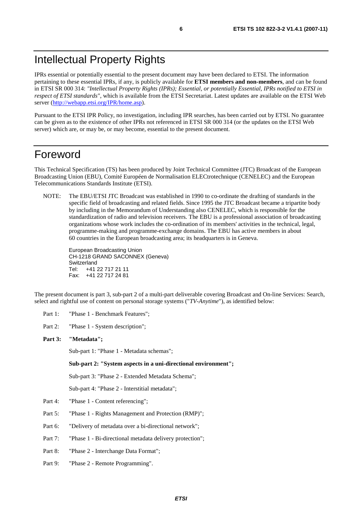# Intellectual Property Rights

IPRs essential or potentially essential to the present document may have been declared to ETSI. The information pertaining to these essential IPRs, if any, is publicly available for **ETSI members and non-members**, and can be found in ETSI SR 000 314: *"Intellectual Property Rights (IPRs); Essential, or potentially Essential, IPRs notified to ETSI in respect of ETSI standards"*, which is available from the ETSI Secretariat. Latest updates are available on the ETSI Web server ([http://webapp.etsi.org/IPR/home.asp\)](http://webapp.etsi.org/IPR/home.asp).

Pursuant to the ETSI IPR Policy, no investigation, including IPR searches, has been carried out by ETSI. No guarantee can be given as to the existence of other IPRs not referenced in ETSI SR 000 314 (or the updates on the ETSI Web server) which are, or may be, or may become, essential to the present document.

# Foreword

This Technical Specification (TS) has been produced by Joint Technical Committee (JTC) Broadcast of the European Broadcasting Union (EBU), Comité Européen de Normalisation ELECtrotechnique (CENELEC) and the European Telecommunications Standards Institute (ETSI).

NOTE: The EBU/ETSI JTC Broadcast was established in 1990 to co-ordinate the drafting of standards in the specific field of broadcasting and related fields. Since 1995 the JTC Broadcast became a tripartite body by including in the Memorandum of Understanding also CENELEC, which is responsible for the standardization of radio and television receivers. The EBU is a professional association of broadcasting organizations whose work includes the co-ordination of its members' activities in the technical, legal, programme-making and programme-exchange domains. The EBU has active members in about 60 countries in the European broadcasting area; its headquarters is in Geneva.

European Broadcasting Union CH-1218 GRAND SACONNEX (Geneva) Switzerland Tel: +41 22 717 21 11 Fax: +41 22 717 24 81

The present document is part 3, sub-part 2 of a multi-part deliverable covering Broadcast and On-line Services: Search, select and rightful use of content on personal storage systems ("*TV-Anytime*"), as identified below:

- Part 1: "Phase 1 Benchmark Features";
- Part 2: "Phase 1 System description";
- **Part 3: "Metadata";**

Sub-part 1: "Phase 1 - Metadata schemas";

#### **Sub-part 2: "System aspects in a uni-directional environment";**

Sub-part 3: "Phase 2 - Extended Metadata Schema";

Sub-part 4: "Phase 2 - Interstitial metadata";

- Part 4: "Phase 1 Content referencing";
- Part 5: "Phase 1 Rights Management and Protection (RMP)";
- Part 6: "Delivery of metadata over a bi-directional network";
- Part 7: "Phase 1 Bi-directional metadata delivery protection";
- Part 8: "Phase 2 Interchange Data Format";
- Part 9: "Phase 2 Remote Programming".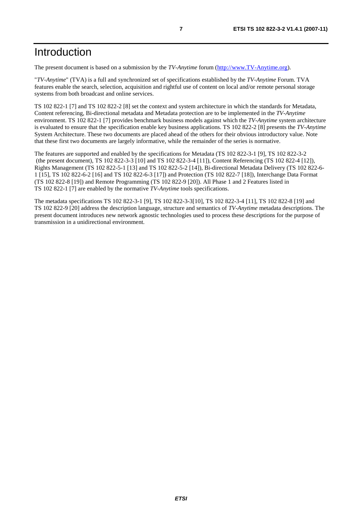The present document is based on a submission by the *TV-Anytime* forum ([http://www.TV-Anytime.org](http://www.tv-anytime.org/)).

"*TV-Anytime*" (TVA) is a full and synchronized set of specifications established by the *TV-Anytime* Forum. TVA features enable the search, selection, acquisition and rightful use of content on local and/or remote personal storage systems from both broadcast and online services.

TS 102 822-1 [7] and TS 102 822-2 [8] set the context and system architecture in which the standards for Metadata, Content referencing, Bi-directional metadata and Metadata protection are to be implemented in the *TV-Anytime* environment. TS 102 822-1 [7] provides benchmark business models against which the *TV-Anytime* system architecture is evaluated to ensure that the specification enable key business applications. TS 102 822-2 [8] presents the *TV-Anytime* System Architecture. These two documents are placed ahead of the others for their obvious introductory value. Note that these first two documents are largely informative, while the remainder of the series is normative.

The features are supported and enabled by the specifications for Metadata (TS 102 822-3-1 [9], TS 102 822-3-2 (the present document), TS 102 822-3-3 [10] and TS 102 822-3-4 [11]), Content Referencing (TS 102 822-4 [12]), Rights Management (TS 102 822-5-1 [13] and TS 102 822-5-2 [14]), Bi-directional Metadata Delivery (TS 102 822-6- 1 [15], TS 102 822-6-2 [16] and TS 102 822-6-3 [17]) and Protection (TS 102 822-7 [18]), Interchange Data Format (TS 102 822-8 [19]) and Remote Programming (TS 102 822-9 [20]). All Phase 1 and 2 Features listed in TS 102 822-1 [7] are enabled by the normative *TV-Anytime* tools specifications.

The metadata specifications TS 102 822-3-1 [9], TS 102 822-3-3[10], TS 102 822-3-4 [11], TS 102 822-8 [19] and TS 102 822-9 [20] address the description language, structure and semantics of *TV-Anytime* metadata descriptions. The present document introduces new network agnostic technologies used to process these descriptions for the purpose of transmission in a unidirectional environment.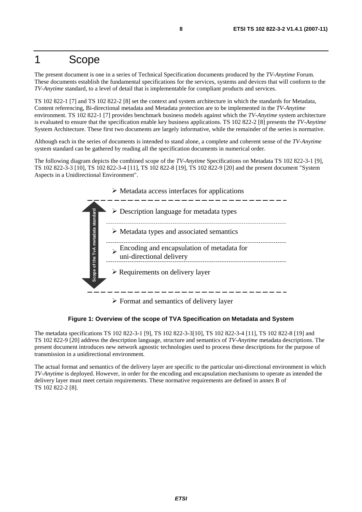# 1 Scope

The present document is one in a series of Technical Specification documents produced by the *TV-Anytime* Forum. These documents establish the fundamental specifications for the services, systems and devices that will conform to the *TV-Anytime* standard, to a level of detail that is implementable for compliant products and services.

TS 102 822-1 [7] and TS 102 822-2 [8] set the context and system architecture in which the standards for Metadata, Content referencing, Bi-directional metadata and Metadata protection are to be implemented in the *TV-Anytime* environment. TS 102 822-1 [7] provides benchmark business models against which the *TV-Anytime* system architecture is evaluated to ensure that the specification enable key business applications. TS 102 822-2 [8] presents the *TV-Anytime* System Architecture. These first two documents are largely informative, while the remainder of the series is normative.

Although each in the series of documents is intended to stand alone, a complete and coherent sense of the *TV-Anytime* system standard can be gathered by reading all the specification documents in numerical order.

The following diagram depicts the combined scope of the *TV-Anytime* Specifications on Metadata TS 102 822-3-1 [9], TS 102 822-3-3 [10], TS 102 822-3-4 [11], TS 102 822-8 [19], TS 102 822-9 [20] and the present document "System Aspects in a Unidirectional Environment".



 $\triangleright$  Format and semantics of delivery layer

**Figure 1: Overview of the scope of TVA Specification on Metadata and System** 

The metadata specifications TS 102 822-3-1 [9], TS 102 822-3-3[10], TS 102 822-3-4 [11], TS 102 822-8 [19] and TS 102 822-9 [20] address the description language, structure and semantics of *TV-Anytime* metadata descriptions. The present document introduces new network agnostic technologies used to process these descriptions for the purpose of transmission in a unidirectional environment.

The actual format and semantics of the delivery layer are specific to the particular uni-directional environment in which *TV-Anytime* is deployed. However, in order for the encoding and encapsulation mechanisms to operate as intended the delivery layer must meet certain requirements. These normative requirements are defined in annex B of TS 102 822-2 [8].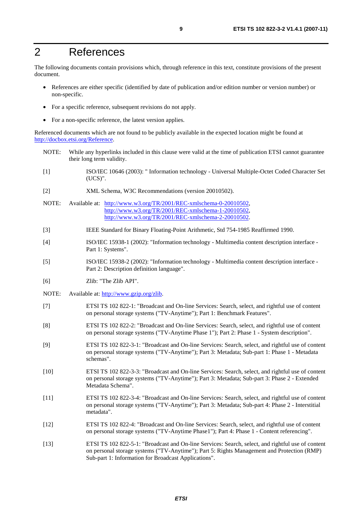# 2 References

The following documents contain provisions which, through reference in this text, constitute provisions of the present document.

- References are either specific (identified by date of publication and/or edition number or version number) or non-specific.
- For a specific reference, subsequent revisions do not apply.
- For a non-specific reference, the latest version applies.

Referenced documents which are not found to be publicly available in the expected location might be found at <http://docbox.etsi.org/Reference>.

- NOTE: While any hyperlinks included in this clause were valid at the time of publication ETSI cannot guarantee their long term validity.
- [1] ISO/IEC 10646 (2003): " Information technology Universal Multiple-Octet Coded Character Set (UCS)".
- [2] XML Schema, W3C Recommendations (version 20010502).
- NOTE: Available at: <http://www.w3.org/TR/2001/REC-xmlschema-0-20010502>, <http://www.w3.org/TR/2001/REC-xmlschema-1-20010502>, [http://www.w3.org/TR/2001/REC-xmlschema-2-20010502](http://www.w3.org/XML/Schema).
- [3] IEEE Standard for Binary Floating-Point Arithmetic, Std 754-1985 Reaffirmed 1990.
- [4] ISO/IEC 15938-1 (2002): "Information technology Multimedia content description interface Part 1: Systems".
- [5] ISO/IEC 15938-2 (2002): "Information technology Multimedia content description interface Part 2: Description definition language".
- [6] Zlib: "The Zlib API".
- NOTE: Available at:<http://www.gzip.org/zlib>.
- [7] ETSI TS 102 822-1: "Broadcast and On-line Services: Search, select, and rightful use of content on personal storage systems ("TV-Anytime"); Part 1: Benchmark Features".
- [8] ETSI TS 102 822-2: "Broadcast and On-line Services: Search, select, and rightful use of content on personal storage systems ("TV-Anytime Phase 1"); Part 2: Phase 1 - System description".
- [9] ETSI TS 102 822-3-1: "Broadcast and On-line Services: Search, select, and rightful use of content on personal storage systems ("TV-Anytime"); Part 3: Metadata; Sub-part 1: Phase 1 - Metadata schemas".
- [10] ETSI TS 102 822-3-3: "Broadcast and On-line Services: Search, select, and rightful use of content on personal storage systems ("TV-Anytime"); Part 3: Metadata; Sub-part 3: Phase 2 - Extended Metadata Schema".
- [11] ETSI TS 102 822-3-4: "Broadcast and On-line Services: Search, select, and rightful use of content on personal storage systems ("TV-Anytime"); Part 3: Metadata; Sub-part 4: Phase 2 - Interstitial metadata".
- [12] ETSI TS 102 822-4: "Broadcast and On-line Services: Search, select, and rightful use of content on personal storage systems ("TV-Anytime Phase1"); Part 4: Phase 1 - Content referencing".
- [13] ETSI TS 102 822-5-1: "Broadcast and On-line Services: Search, select, and rightful use of content on personal storage systems ("TV-Anytime"); Part 5: Rights Management and Protection (RMP) Sub-part 1: Information for Broadcast Applications".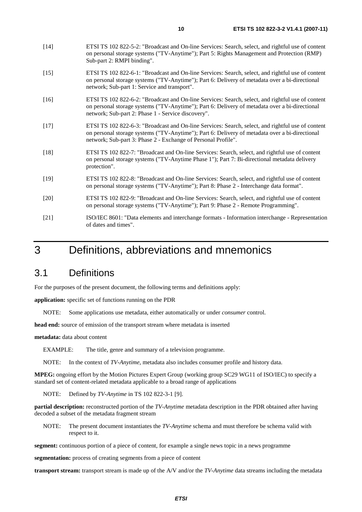- [14] ETSI TS 102 822-5-2: "Broadcast and On-line Services: Search, select, and rightful use of content on personal storage systems ("TV-Anytime"); Part 5: Rights Management and Protection (RMP) Sub-part 2: RMPI binding".
- [15] ETSI TS 102 822-6-1: "Broadcast and On-line Services: Search, select, and rightful use of content on personal storage systems ("TV-Anytime"); Part 6: Delivery of metadata over a bi-directional network; Sub-part 1: Service and transport".
- [16] ETSI TS 102 822-6-2: "Broadcast and On-line Services: Search, select, and rightful use of content on personal storage systems ("TV-Anytime"); Part 6: Delivery of metadata over a bi-directional network; Sub-part 2: Phase 1 - Service discovery".
- [17] ETSI TS 102 822-6-3: "Broadcast and On-line Services: Search, select, and rightful use of content on personal storage systems ("TV-Anytime"); Part 6: Delivery of metadata over a bi-directional network; Sub-part 3: Phase 2 - Exchange of Personal Profile".
- [18] ETSI TS 102 822-7: "Broadcast and On-line Services: Search, select, and rightful use of content on personal storage systems ("TV-Anytime Phase 1"); Part 7: Bi-directional metadata delivery protection".
- [19] ETSI TS 102 822-8: "Broadcast and On-line Services: Search, select, and rightful use of content on personal storage systems ("TV-Anytime"); Part 8: Phase 2 - Interchange data format".
- [20] ETSI TS 102 822-9: "Broadcast and On-line Services: Search, select, and rightful use of content on personal storage systems ("TV-Anytime"); Part 9: Phase 2 - Remote Programming".
- [21] ISO/IEC 8601: "Data elements and interchange formats Information interchange Representation of dates and times".

# 3 Definitions, abbreviations and mnemonics

# 3.1 Definitions

For the purposes of the present document, the following terms and definitions apply:

**application:** specific set of functions running on the PDR

NOTE: Some applications use metadata, either automatically or under *consumer* control.

**head end:** source of emission of the transport stream where metadata is inserted

**metadata:** data about content

EXAMPLE: The title, genre and summary of a television programme.

NOTE: In the context of *TV-Anytime*, metadata also includes consumer profile and history data.

**MPEG:** ongoing effort by the Motion Pictures Expert Group (working group SC29 WG11 of ISO/IEC) to specify a standard set of content-related metadata applicable to a broad range of applications

NOTE: Defined by *TV-Anytime* in TS 102 822-3-1 [9].

**partial description:** reconstructed portion of the *TV-Anytime* metadata description in the PDR obtained after having decoded a subset of the metadata fragment stream

NOTE: The present document instantiates the *TV-Anytime* schema and must therefore be schema valid with respect to it.

**segment:** continuous portion of a piece of content, for example a single news topic in a news programme

**segmentation:** process of creating segments from a piece of content

**transport stream:** transport stream is made up of the A/V and/or the *TV-Anytime* data streams including the metadata

*ETSI*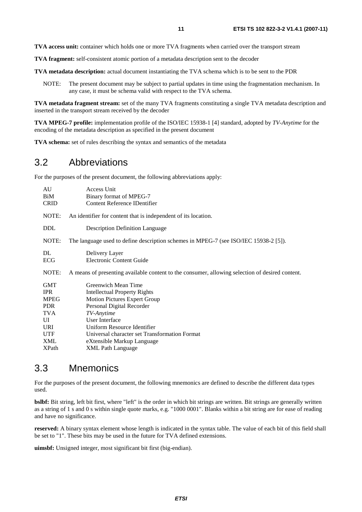**TVA access unit:** container which holds one or more TVA fragments when carried over the transport stream

**TVA fragment:** self-consistent atomic portion of a metadata description sent to the decoder

**TVA metadata description:** actual document instantiating the TVA schema which is to be sent to the PDR

NOTE: The present document may be subject to partial updates in time using the fragmentation mechanism. In any case, it must be schema valid with respect to the TVA schema.

**TVA metadata fragment stream:** set of the many TVA fragments constituting a single TVA metadata description and inserted in the transport stream received by the decoder

**TVA MPEG-7 profile:** implementation profile of the ISO/IEC 15938-1 [4] standard, adopted by *TV-Anytime* for the encoding of the metadata description as specified in the present document

**TVA schema:** set of rules describing the syntax and semantics of the metadata

# 3.2 Abbreviations

For the purposes of the present document, the following abbreviations apply:

| AU<br>BiM<br><b>CRID</b>                                                                                              | Access Unit<br>Binary format of MPEG-7<br><b>Content Reference IDentifier</b>                                                                                                                                                                                                                            |
|-----------------------------------------------------------------------------------------------------------------------|----------------------------------------------------------------------------------------------------------------------------------------------------------------------------------------------------------------------------------------------------------------------------------------------------------|
| NOTE:                                                                                                                 | An identifier for content that is independent of its location.                                                                                                                                                                                                                                           |
| <b>DDL</b>                                                                                                            | <b>Description Definition Language</b>                                                                                                                                                                                                                                                                   |
| NOTE:                                                                                                                 | The language used to define description schemes in MPEG-7 (see ISO/IEC 15938-2 [5]).                                                                                                                                                                                                                     |
| DL.<br><b>ECG</b>                                                                                                     | Delivery Layer<br><b>Electronic Content Guide</b>                                                                                                                                                                                                                                                        |
| NOTE:                                                                                                                 | A means of presenting available content to the consumer, allowing selection of desired content.                                                                                                                                                                                                          |
| GMT<br><b>IPR</b><br><b>MPEG</b><br><b>PDR</b><br><b>TVA</b><br>UI<br><b>URI</b><br><b>UTF</b><br>XML<br><b>XPath</b> | Greenwich Mean Time<br><b>Intellectual Property Rights</b><br><b>Motion Pictures Expert Group</b><br>Personal Digital Recorder<br>TV-Anytime<br>User Interface<br>Uniform Resource Identifier<br>Universal character set Transformation Format<br>eXtensible Markup Language<br><b>XML</b> Path Language |

# 3.3 Mnemonics

For the purposes of the present document, the following mnemonics are defined to describe the different data types used.

**bslbf:** Bit string, left bit first, where "left" is the order in which bit strings are written. Bit strings are generally written as a string of 1 s and 0 s within single quote marks, e.g. "1000 0001". Blanks within a bit string are for ease of reading and have no significance.

**reserved:** A binary syntax element whose length is indicated in the syntax table. The value of each bit of this field shall be set to "1". These bits may be used in the future for TVA defined extensions.

**uimsbf:** Unsigned integer, most significant bit first (big-endian).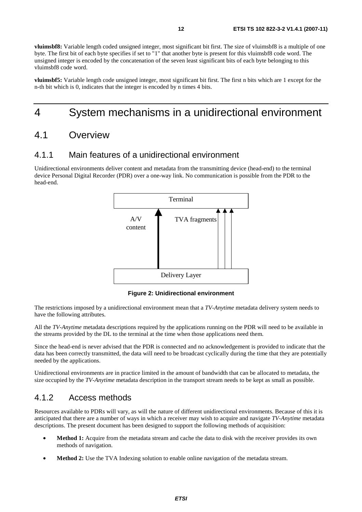**vluimsbf8:** Variable length coded unsigned integer, most significant bit first. The size of vluimsbf8 is a multiple of one byte. The first bit of each byte specifies if set to "1" that another byte is present for this vluimsbf8 code word. The unsigned integer is encoded by the concatenation of the seven least significant bits of each byte belonging to this vluimsbf8 code word.

**vluimsbf5:** Variable length code unsigned integer, most significant bit first. The first n bits which are 1 except for the n-th bit which is 0, indicates that the integer is encoded by n times 4 bits.

# 4 System mechanisms in a unidirectional environment

# 4.1 Overview

# 4.1.1 Main features of a unidirectional environment

Unidirectional environments deliver content and metadata from the transmitting device (head-end) to the terminal device Personal Digital Recorder (PDR) over a one-way link. No communication is possible from the PDR to the head-end.



**Figure 2: Unidirectional environment** 

The restrictions imposed by a unidirectional environment mean that a *TV-Anytime* metadata delivery system needs to have the following attributes.

All the *TV-Anytime* metadata descriptions required by the applications running on the PDR will need to be available in the streams provided by the DL to the terminal at the time when those applications need them.

Since the head-end is never advised that the PDR is connected and no acknowledgement is provided to indicate that the data has been correctly transmitted, the data will need to be broadcast cyclically during the time that they are potentially needed by the applications.

Unidirectional environments are in practice limited in the amount of bandwidth that can be allocated to metadata, the size occupied by the *TV-Anytime* metadata description in the transport stream needs to be kept as small as possible.

# 4.1.2 Access methods

Resources available to PDRs will vary, as will the nature of different unidirectional environments. Because of this it is anticipated that there are a number of ways in which a receiver may wish to acquire and navigate *TV-Anytime* metadata descriptions. The present document has been designed to support the following methods of acquisition:

- **Method 1:** Acquire from the metadata stream and cache the data to disk with the receiver provides its own methods of navigation.
- **Method 2:** Use the TVA Indexing solution to enable online navigation of the metadata stream.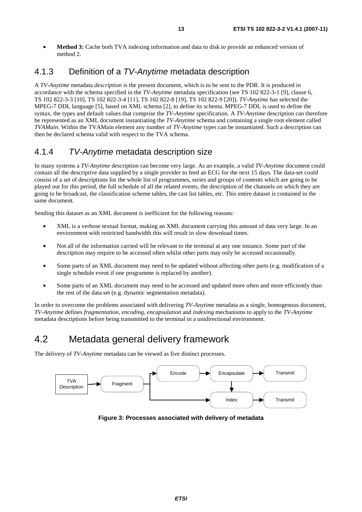• **Method 3:** Cache both TVA indexing information and data to disk to provide an enhanced version of method 2.

# 4.1.3 Definition of a *TV-Anytime* metadata description

A *TV-Anytime* metadata *description* is the present document, which is to be sent to the PDR. It is produced in accordance with the schema specified in the *TV-Anytime* metadata specification (see TS 102 822-3-1 [9], clause 6, TS 102 822-3-3 [10], TS 102 822-3-4 [11], TS 102 822-8 [19], TS 102 822-9 [20]). *TV-Anytime* has selected the MPEG-7 DDL language [5], based on XML schema [2], to define its schema. MPEG-7 DDL is used to define the syntax, the types and default values that comprise the *TV-Anytime* specification. A *TV-Anytime* description can therefore be represented as an XML document instantiating the *TV-Anytime* schema and containing a single root element called *TVAMain*. Within the TVAMain element any number of *TV-Anytime* types can be instantiated. Such a description can then be declared schema valid with respect to the TVA schema.

# 4.1.4 *TV-Anytime* metadata description size

In many systems a *TV-Anytime* description can become very large. As an example, a valid *TV-Anytime* document could contain all the descriptive data supplied by a single provider to feed an ECG for the next 15 days. The data-set could consist of a set of descriptions for the whole list of programmes, series and groups of contents which are going to be played out for this period, the full schedule of all the related events, the description of the channels on which they are going to be broadcast, the classification scheme tables, the cast list tables, etc. This entire dataset is contained in the same document.

Sending this dataset as an XML document is inefficient for the following reasons:

- XML is a verbose textual format, making an XML document carrying this amount of data very large. In an environment with restricted bandwidth this will result in slow download times.
- Not all of the information carried will be relevant to the terminal at any one instance. Some part of the description may require to be accessed often whilst other parts may only be accessed occasionally.
- Some parts of an XML document may need to be updated without affecting other parts (e.g. modification of a single schedule event if one programme is replaced by another).
- Some parts of an XML document may need to be accessed and updated more often and more efficiently than the rest of the data set (e.g. dynamic segmentation metadata).

In order to overcome the problems associated with delivering *TV-Anytime* metadata as a single, homogenous document, *TV-Anytime* defines *fragmentation, encoding, encapsulation* and *indexing* mechanisms to apply to the *TV-Anytime* metadata descriptions before being transmitted to the terminal in a unidirectional environment.

# 4.2 Metadata general delivery framework

The delivery of *TV-Anytime* metadata can be viewed as five distinct processes.



**Figure 3: Processes associated with delivery of metadata**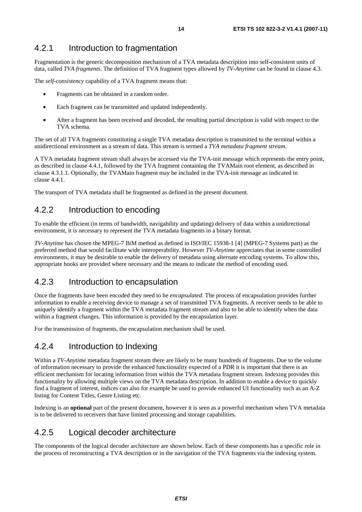# 4.2.1 Introduction to fragmentation

Fragmentation is the generic decomposition mechanism of a TVA metadata description into self-consistent units of data, called *TVA fragments*. The definition of TVA fragment types allowed by *TV-Anytime* can be found in clause 4.3.

The *self-consistency* capability of a TVA fragment means that:

- Fragments can be obtained in a random order.
- Each fragment can be transmitted and updated independently.
- After a fragment has been received and decoded, the resulting partial description is valid with respect to the TVA schema.

The set of all TVA fragments constituting a single TVA metadata description is transmitted to the terminal within a unidirectional environment as a stream of data. This stream is termed a *TVA metadata fragment stream*.

A TVA metadata fragment stream shall always be accessed via the TVA-init message which represents the entry point, as described in clause 4.4.1, followed by the TVA fragment containing the TVAMain root element, as described in clause 4.3.1.1. Optionally, the TVAMain fragment may be included in the TVA-init message as indicated in clause 4.4.1.

The transport of TVA metadata shall be fragmented as defined in the present document.

# 4.2.2 Introduction to encoding

To enable the efficient (in terms of bandwidth, navigability and updating) delivery of data within a unidirectional environment, it is necessary to represent the TVA metadata fragments in a binary format.

*TV-Anytime* has chosen the MPEG-7 BiM method as defined in ISO/IEC 15938-1 [4] (MPEG-7 Systems part) as the preferred method that would facilitate wide interoperability. However *TV-Anytime* appreciates that in some controlled environments, it may be desirable to enable the delivery of metadata using alternate encoding systems. To allow this, appropriate hooks are provided where necessary and the means to indicate the method of encoding used.

# 4.2.3 Introduction to encapsulation

Once the fragments have been encoded they need to be *encapsulated*. The process of encapsulation provides further information to enable a receiving device to manage a set of transmitted TVA fragments. A receiver needs to be able to uniquely identify a fragment within the TVA metadata fragment stream and also to be able to identify when the data within a fragment changes. This information is provided by the encapsulation layer.

For the transmission of fragments, the encapsulation mechanism shall be used.

### 4.2.4 Introduction to Indexing

Within a *TV-Anytime* metadata fragment stream there are likely to be many hundreds of fragments. Due to the volume of information necessary to provide the enhanced functionality expected of a PDR it is important that there is an efficient mechanism for locating information from within the TVA metadata fragment stream. Indexing provides this functionality by allowing multiple views on the TVA metadata description. In addition to enable a device to quickly find a fragment of interest, indices can also for example be used to provide enhanced UI functionality such as an A-Z listing for Content Titles, Genre Listing etc.

Indexing is an **optional** part of the present document, however it is seen as a powerful mechanism when TVA metadata is to be delivered to receivers that have limited processing and storage capabilities.

### 4.2.5 Logical decoder architecture

The components of the logical decoder architecture are shown below. Each of these components has a specific role in the process of reconstructing a TVA description or in the navigation of the TVA fragments via the indexing system.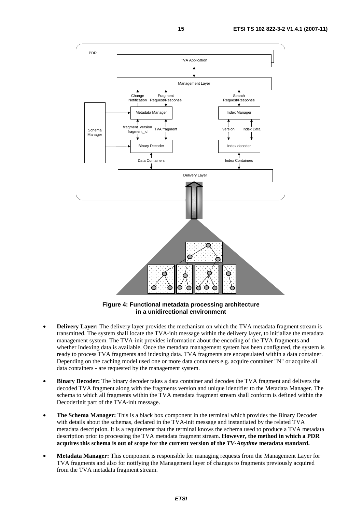

**Figure 4: Functional metadata processing architecture in a unidirectional environment** 

- **Delivery Layer:** The delivery layer provides the mechanism on which the TVA metadata fragment stream is transmitted. The system shall locate the TVA-init message within the delivery layer, to initialize the metadata management system. The TVA-init provides information about the encoding of the TVA fragments and whether Indexing data is available. Once the metadata management system has been configured, the system is ready to process TVA fragments and indexing data. TVA fragments are encapsulated within a data container. Depending on the caching model used one or more data containers e.g. acquire container "N" or acquire all data containers - are requested by the management system.
- **Binary Decoder:** The binary decoder takes a data container and decodes the TVA fragment and delivers the decoded TVA fragment along with the fragments version and unique identifier to the Metadata Manager. The schema to which all fragments within the TVA metadata fragment stream shall conform is defined within the DecoderInit part of the TVA-init message.
- **The Schema Manager:** This is a black box component in the terminal which provides the Binary Decoder with details about the schemas, declared in the TVA-init message and instantiated by the related TVA metadata description. It is a requirement that the terminal knows the schema used to produce a TVA metadata description prior to processing the TVA metadata fragment stream. **However, the method in which a PDR acquires this schema is out of scope for the current version of the** *TV-Anytime* **metadata standard.**
- **Metadata Manager:** This component is responsible for managing requests from the Management Layer for TVA fragments and also for notifying the Management layer of changes to fragments previously acquired from the TVA metadata fragment stream.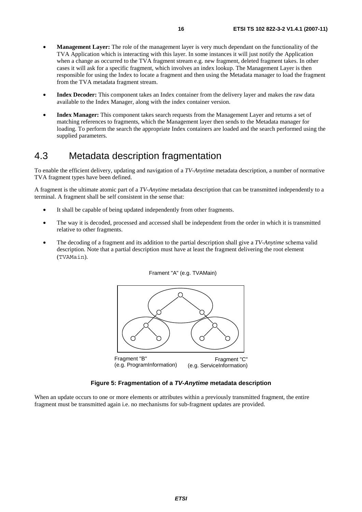- **Management Layer:** The role of the management layer is very much dependant on the functionality of the TVA Application which is interacting with this layer. In some instances it will just notify the Application when a change as occurred to the TVA fragment stream e.g. new fragment, deleted fragment takes. In other cases it will ask for a specific fragment, which involves an index lookup. The Management Layer is then responsible for using the Index to locate a fragment and then using the Metadata manager to load the fragment from the TVA metadata fragment stream.
- **Index Decoder:** This component takes an Index container from the delivery layer and makes the raw data available to the Index Manager, along with the index container version.
- **Index Manager:** This component takes search requests from the Management Layer and returns a set of matching references to fragments, which the Management layer then sends to the Metadata manager for loading. To perform the search the appropriate Index containers are loaded and the search performed using the supplied parameters.

# 4.3 Metadata description fragmentation

To enable the efficient delivery, updating and navigation of a *TV-Anytime* metadata description, a number of normative TVA fragment types have been defined.

A fragment is the ultimate atomic part of a *TV-Anytime* metadata description that can be transmitted independently to a terminal. A fragment shall be self consistent in the sense that:

- It shall be capable of being updated independently from other fragments.
- The way it is decoded, processed and accessed shall be independent from the order in which it is transmitted relative to other fragments.
- The decoding of a fragment and its addition to the partial description shall give a *TV-Anytime* schema valid description. Note that a partial description must have at least the fragment delivering the root element (TVAMain).



#### Frament "A" (e.g. TVAMain)

#### **Figure 5: Fragmentation of a** *TV-Anytime* **metadata description**

When an update occurs to one or more elements or attributes within a previously transmitted fragment, the entire fragment must be transmitted again i.e. no mechanisms for sub-fragment updates are provided.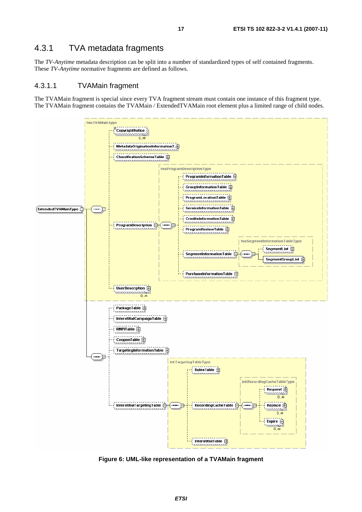# 4.3.1 TVA metadata fragments

The *TV-Anytime* metadata description can be split into a number of standardized types of self contained fragments. These *TV-Anytime* normative fragments are defined as follows.

#### 4.3.1.1 TVAMain fragment

The TVAMain fragment is special since every TVA fragment stream must contain one instance of this fragment type. The TVAMain fragment contains the TVAMain / ExtendedTVAMain root element plus a limited range of child nodes.



**Figure 6: UML-like representation of a TVAMain fragment**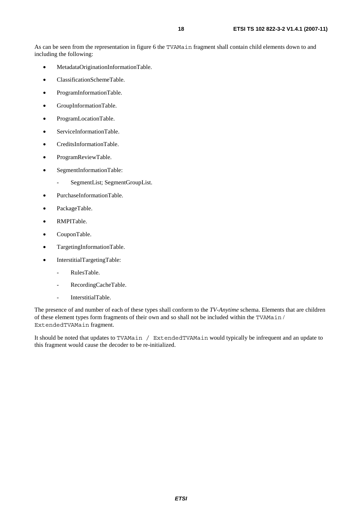As can be seen from the representation in figure 6 the TVAMain fragment shall contain child elements down to and including the following:

- MetadataOriginationInformationTable.
- ClassificationSchemeTable.
- ProgramInformationTable.
- GroupInformationTable.
- ProgramLocationTable.
- ServiceInformationTable.
- CreditsInformationTable.
- ProgramReviewTable.
- SegmentInformationTable:
	- SegmentList; SegmentGroupList.
- PurchaseInformationTable.
- PackageTable.
- RMPITable.
- CouponTable.
- TargetingInformationTable.
- InterstitialTargetingTable:
	- RulesTable.
	- RecordingCacheTable.
	- InterstitialTable.

The presence of and number of each of these types shall conform to the *TV-Anytime* schema. Elements that are children of these element types form fragments of their own and so shall not be included within the TVAMain / ExtendedTVAMain fragment.

It should be noted that updates to TVAMain / ExtendedTVAMain would typically be infrequent and an update to this fragment would cause the decoder to be re-initialized.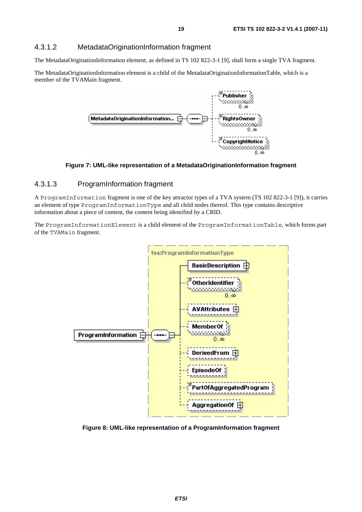#### 4.3.1.2 MetadataOriginationInformation fragment

The MetadataOriginationInformation element, as defined in TS 102 822-3-1 [9], shall form a single TVA fragment.

The MetadataOriginationInformation element is a child of the MetadataOriginationInformationTable, which is a member of the TVAMain fragment.



**Figure 7: UML-like representation of a MetadataOriginationInformation fragment** 

#### 4.3.1.3 ProgramInformation fragment

A ProgramInformation fragment is one of the key attractor types of a TVA system (TS 102 822-3-1 [9]), it carries an element of type ProgramInformationType and all child nodes thereof. This type contains descriptive information about a piece of content, the content being identified by a CRID.

The ProgramInformationElement is a child element of the ProgramInformationTable, which forms part of the TVAMain fragment.



**Figure 8: UML-like representation of a ProgramInformation fragment**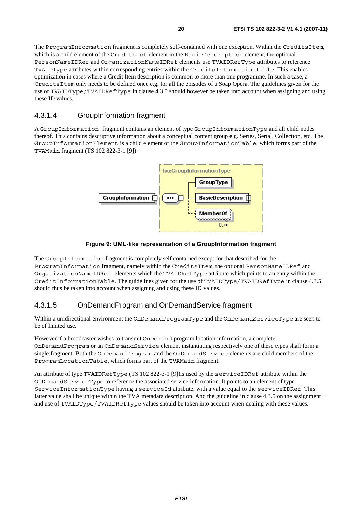The ProgramInformation fragment is completely self-contained with one exception. Within the CreditsItem, which is a child element of the CreditList element in the BasicDescription element, the optional PersonNameIDRef and OrganizationNameIDRef elements use TVAIDRefType attributes to reference TVAIDType attributes within corresponding entries within the CreditsInformationTable. This enables optimization in cases where a Credit Item description is common to more than one programme. In such a case, a CreditsItem only needs to be defined once e.g. for all the episodes of a Soap Opera. The guidelines given for the use of TVAIDType/TVAIDRefType in clause 4.3.5 should however be taken into account when assigning and using these ID values.

#### 4.3.1.4 GroupInformation fragment

A GroupInformation fragment contains an element of type GroupInformationType and all child nodes thereof. This contains descriptive information about a conceptual content group e.g. Series, Serial, Collection, etc. The GroupInformationElement is a child element of the GroupInformationTable, which forms part of the TVAMain fragment (TS 102 822-3-1 [9]).



**Figure 9: UML-like representation of a GroupInformation fragment** 

The GroupInformation fragment is completely self contained except for that described for the ProgramInformation fragment, namely within the CreditsItem, the optional PersonNameIDRef and OrganizationNameIDRef elements which the TVAIDRefType attribute which points to an entry within the CreditInformationTable. The guidelines given for the use of TVAIDType/TVAIDRefType in clause 4.3.5 should thus be taken into account when assigning and using these ID values.

### 4.3.1.5 OnDemandProgram and OnDemandService fragment

Within a unidirectional environment the OnDemandProgramType and the OnDemandServiceType are seen to be of limited use.

However if a broadcaster wishes to transmit OnDemand program location information, a complete OnDemandProgram or an OnDemandService element instantiating respectively one of these types shall form a single fragment. Both the OnDemandProgram and the OnDemandService elements are child members of the ProgramLocationTable, which forms part of the TVAMain fragment.

An attribute of type TVAIDRefType (TS 102 822-3-1 [9])is used by the serviceIDRef attribute within the OnDemandServiceType to reference the associated service information. It points to an element of type ServiceInformationType having a serviceId attribute, with a value equal to the serviceIDRef. This latter value shall be unique within the TVA metadata description. And the guideline in clause 4.3.5 on the assignment and use of TVAIDType/TVAIDRefType values should be taken into account when dealing with these values.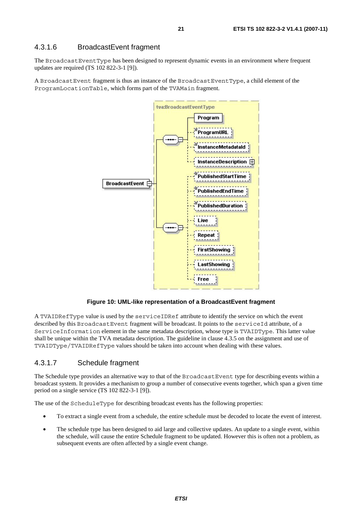#### 4.3.1.6 BroadcastEvent fragment

The BroadcastEventType has been designed to represent dynamic events in an environment where frequent updates are required (TS 102 822-3-1 [9]).

A BroadcastEvent fragment is thus an instance of the BroadcastEventType, a child element of the ProgramLocationTable, which forms part of the TVAMain fragment.



**Figure 10: UML-like representation of a BroadcastEvent fragment** 

A TVAIDRefType value is used by the serviceIDRef attribute to identify the service on which the event described by this BroadcastEvent fragment will be broadcast. It points to the serviceId attribute, of a ServiceInformation element in the same metadata description, whose type is TVAIDType. This latter value shall be unique within the TVA metadata description. The guideline in clause 4.3.5 on the assignment and use of TVAIDType/TVAIDRefType values should be taken into account when dealing with these values.

#### 4.3.1.7 Schedule fragment

The Schedule type provides an alternative way to that of the BroadcastEvent type for describing events within a broadcast system. It provides a mechanism to group a number of consecutive events together, which span a given time period on a single service (TS 102 822-3-1 [9]).

The use of the ScheduleType for describing broadcast events has the following properties:

- To extract a single event from a schedule, the entire schedule must be decoded to locate the event of interest.
- The schedule type has been designed to aid large and collective updates. An update to a single event, within the schedule, will cause the entire Schedule fragment to be updated. However this is often not a problem, as subsequent events are often affected by a single event change.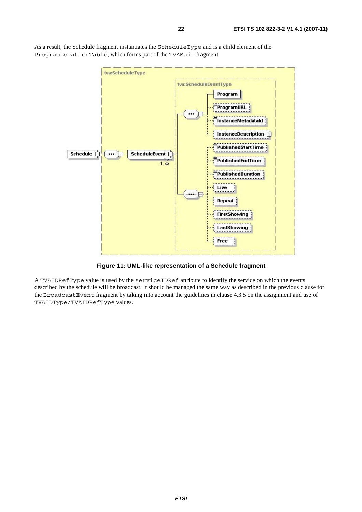

As a result, the Schedule fragment instantiates the ScheduleType and is a child element of the ProgramLocationTable, which forms part of the TVAMain fragment.

**Figure 11: UML-like representation of a Schedule fragment** 

A TVAIDRefType value is used by the serviceIDRef attribute to identify the service on which the events described by the schedule will be broadcast. It should be managed the same way as described in the previous clause for the BroadcastEvent fragment by taking into account the guidelines in clause 4.3.5 on the assignment and use of TVAIDType/TVAIDRefType values.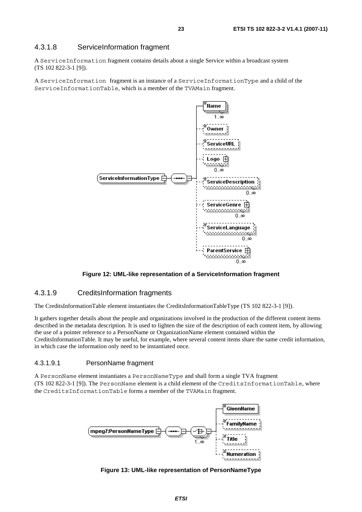#### 4.3.1.8 ServiceInformation fragment

A ServiceInformation fragment contains details about a single Service within a broadcast system (TS 102 822-3-1 [9]).

A ServiceInformation fragment is an instance of a ServiceInformationType and a child of the ServiceInformationTable, which is a member of the TVAMain fragment.



#### **Figure 12: UML-like representation of a ServiceInformation fragment**

#### 4.3.1.9 CreditsInformation fragments

The CreditsInformationTable element instantiates the CreditsInformationTableType (TS 102 822-3-1 [9]).

It gathers together details about the people and organizations involved in the production of the different content items described in the metadata description. It is used to lighten the size of the description of each content item, by allowing the use of a pointer reference to a PersonName or OrganizationName element contained within the CreditsInformationTable. It may be useful, for example, where several content items share the same credit information, in which case the information only need to be instantiated once.

#### 4.3.1.9.1 PersonName fragment

A PersonName element instantiates a PersonNameType and shall form a single TVA fragment (TS 102 822-3-1 [9]). The PersonName element is a child element of the CreditsInformationTable, where the CreditsInformationTable forms a member of the TVAMain fragment.



**Figure 13: UML-like representation of PersonNameType**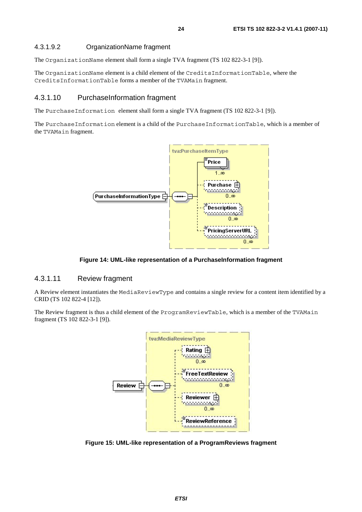#### 4.3.1.9.2 OrganizationName fragment

The OrganizationName element shall form a single TVA fragment (TS 102 822-3-1 [9]).

The OrganizationName element is a child element of the CreditsInformationTable, where the CreditsInformationTable forms a member of the TVAMain fragment.

#### 4.3.1.10 PurchaseInformation fragment

The PurchaseInformation element shall form a single TVA fragment (TS 102 822-3-1 [9]).

The PurchaseInformation element is a child of the PurchaseInformationTable, which is a member of the TVAMain fragment.



**Figure 14: UML-like representation of a PurchaseInformation fragment** 

#### 4.3.1.11 Review fragment

A Review element instantiates the MediaReviewType and contains a single review for a content item identified by a CRID (TS 102 822-4 [12]).

The Review fragment is thus a child element of the ProgramReviewTable, which is a member of the TVAMain fragment (TS 102 822-3-1 [9]).



**Figure 15: UML-like representation of a ProgramReviews fragment**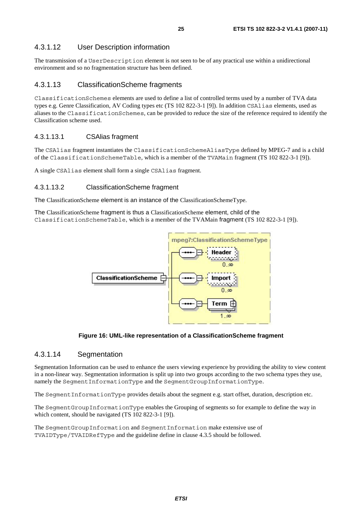### 4.3.1.12 User Description information

The transmission of a UserDescription element is not seen to be of any practical use within a unidirectional environment and so no fragmentation structure has been defined.

#### 4.3.1.13 ClassificationScheme fragments

ClassificationSchemes elements are used to define a list of controlled terms used by a number of TVA data types e.g. Genre Classification, AV Coding types etc (TS 102 822-3-1 [9]). In addition CSAlias elements, used as aliases to the ClassificationSchemes, can be provided to reduce the size of the reference required to identify the Classification scheme used.

#### 4.3.1.13.1 CSAlias fragment

The CSAlias fragment instantiates the ClassificationSchemeAliasType defined by MPEG-7 and is a child of the ClassificationSchemeTable, which is a member of the TVAMain fragment (TS 102 822-3-1 [9]).

A single CSAlias element shall form a single CSAlias fragment.

#### 4.3.1.13.2 ClassificationScheme fragment

The ClassificationScheme element is an instance of the ClassificationSchemeType.

The ClassificationScheme fragment is thus a ClassificationScheme element, child of the ClassificationSchemeTable, which is a member of the TVAMain fragment (TS 102 822-3-1 [9]).



**Figure 16: UML-like representation of a ClassificationScheme fragment** 

### 4.3.1.14 Segmentation

Segmentation Information can be used to enhance the users viewing experience by providing the ability to view content in a non-linear way. Segmentation information is split up into two groups according to the two schema types they use, namely the SegmentInformationType and the SegmentGroupInformationType.

The SegmentInformationType provides details about the segment e.g. start offset, duration, description etc.

The SegmentGroupInformationType enables the Grouping of segments so for example to define the way in which content, should be navigated (TS 102 822-3-1 [9]).

The SegmentGroupInformation and SegmentInformation make extensive use of TVAIDType/TVAIDRefType and the guideline define in clause 4.3.5 should be followed.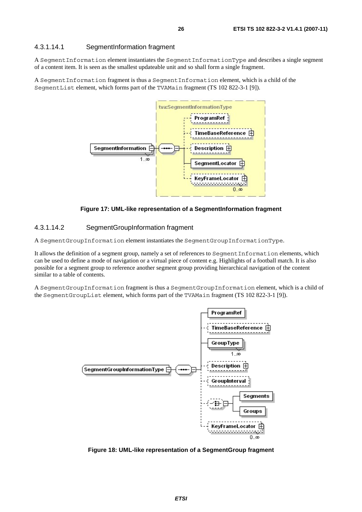#### 4.3.1.14.1 SegmentInformation fragment

A SegmentInformation element instantiates the SegmentInformationType and describes a single segment of a content item. It is seen as the smallest updateable unit and so shall form a single fragment.

A SegmentInformation fragment is thus a SegmentInformation element, which is a child of the SegmentList element, which forms part of the TVAMain fragment (TS 102 822-3-1 [9]).



**Figure 17: UML-like representation of a SegmentInformation fragment** 

#### 4.3.1.14.2 SegmentGroupInformation fragment

A SegmentGroupInformation element instantiates the SegmentGroupInformationType.

It allows the definition of a segment group, namely a set of references to SegmentInformation elements, which can be used to define a mode of navigation or a virtual piece of content e.g. Highlights of a football match. It is also possible for a segment group to reference another segment group providing hierarchical navigation of the content similar to a table of contents.

A SegmentGroupInformation fragment is thus a SegmentGroupInformation element, which is a child of the SegmentGroupList element, which forms part of the TVAMain fragment (TS 102 822-3-1 [9]).



**Figure 18: UML-like representation of a SegmentGroup fragment**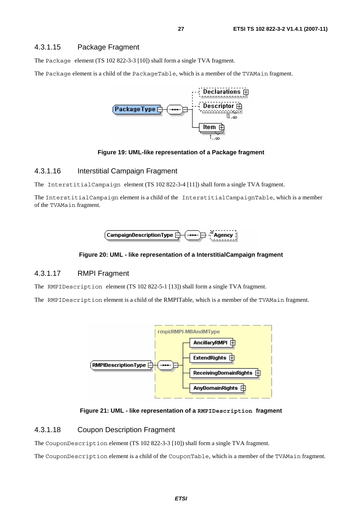#### 4.3.1.15 Package Fragment

The Package element (TS 102 822-3-3 [10]) shall form a single TVA fragment.

The Package element is a child of the PackageTable, which is a member of the TVAMain fragment.



#### **Figure 19: UML-like representation of a Package fragment**

#### 4.3.1.16 Interstitial Campaign Fragment

The InterstitialCampaign element (TS 102 822-3-4 [11]) shall form a single TVA fragment.

The InterstitialCampaign element is a child of the InterstitialCampaignTable, which is a member of the TVAMain fragment.



#### **Figure 20: UML - like representation of a InterstitialCampaign fragment**

#### 4.3.1.17 RMPI Fragment

The RMPIDescription element (TS 102 822-5-1 [13]) shall form a single TVA fragment.

The RMPIDescription element is a child of the RMPITable, which is a member of the TVAMain fragment.



**Figure 21: UML - like representation of a RMPIDescription fragment** 

#### 4.3.1.18 Coupon Description Fragment

The CouponDescription element (TS 102 822-3-3 [10]) shall form a single TVA fragment.

The CouponDescription element is a child of the CouponTable, which is a member of the TVAMain fragment.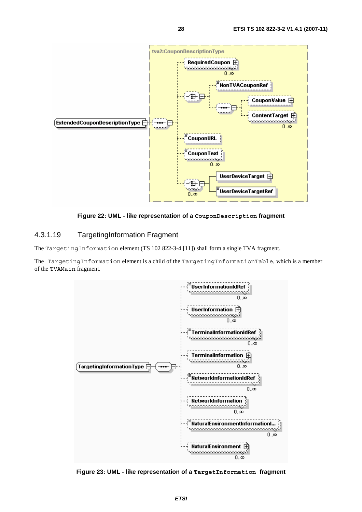

**Figure 22: UML - like representation of a CouponDescription fragment** 

#### 4.3.1.19 TargetingInformation Fragment

The TargetingInformation element (TS 102 822-3-4 [11]) shall form a single TVA fragment.

The TargetingInformation element is a child of the TargetingInformationTable, which is a member of the TVAMain fragment.



**Figure 23: UML - like representation of a TargetInformation fragment**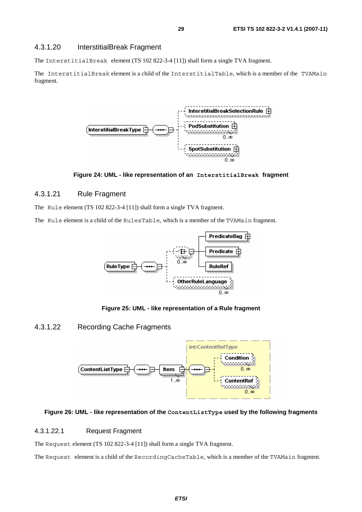#### 4.3.1.20 InterstitialBreak Fragment

The InterstitialBreak element (TS 102 822-3-4 [11]) shall form a single TVA fragment.

The InterstitialBreak element is a child of the InterstitialTable, which is a member of the TVAMain fragment.



**Figure 24: UML - like representation of an InterstitialBreak fragment** 

#### 4.3.1.21 Rule Fragment

The Rule element (TS 102 822-3-4 [11]) shall form a single TVA fragment.

The Rule element is a child of the RulesTable, which is a member of the TVAMain fragment.



**Figure 25: UML - like representation of a Rule fragment** 

#### 4.3.1.22 Recording Cache Fragments



#### **Figure 26: UML - like representation of the ContentListType used by the following fragments**

#### 4.3.1.22.1 Request Fragment

The Request element (TS 102 822-3-4 [11]) shall form a single TVA fragment.

The Request element is a child of the RecordingCacheTable, which is a member of the TVAMain fragment.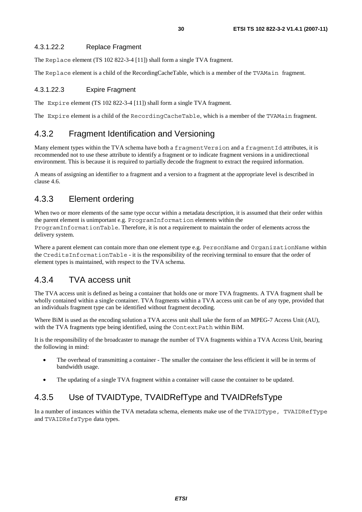#### 4.3.1.22.2 Replace Fragment

The Replace element (TS 102 822-3-4 [11]) shall form a single TVA fragment.

The Replace element is a child of the RecordingCacheTable, which is a member of the TVAMain fragment.

#### 4.3.1.22.3 Expire Fragment

The Expire element (TS 102 822-3-4 [11]) shall form a single TVA fragment.

The Expire element is a child of the RecordingCacheTable, which is a member of the TVAMain fragment.

# 4.3.2 Fragment Identification and Versioning

Many element types within the TVA schema have both a fragment Version and a fragment Id attributes, it is recommended not to use these attribute to identify a fragment or to indicate fragment versions in a unidirectional environment. This is because it is required to partially decode the fragment to extract the required information.

A means of assigning an identifier to a fragment and a version to a fragment at the appropriate level is described in clause 4.6.

# 4.3.3 Element ordering

When two or more elements of the same type occur within a metadata description, it is assumed that their order within the parent element is unimportant e.g. ProgramInformation elements within the ProgramInformationTable. Therefore, it is not a requirement to maintain the order of elements across the delivery system.

Where a parent element can contain more than one element type e.g. PersonName and OrganizationName within the CreditsInformationTable - it is the responsibility of the receiving terminal to ensure that the order of element types is maintained, with respect to the TVA schema.

# 4.3.4 TVA access unit

The TVA access unit is defined as being a container that holds one or more TVA fragments. A TVA fragment shall be wholly contained within a single container. TVA fragments within a TVA access unit can be of any type, provided that an individuals fragment type can be identified without fragment decoding.

Where BiM is used as the encoding solution a TVA access unit shall take the form of an MPEG-7 Access Unit (AU), with the TVA fragments type being identified, using the ContextPath within BiM.

It is the responsibility of the broadcaster to manage the number of TVA fragments within a TVA Access Unit, bearing the following in mind:

- The overhead of transmitting a container The smaller the container the less efficient it will be in terms of bandwidth usage.
- The updating of a single TVA fragment within a container will cause the container to be updated.

# 4.3.5 Use of TVAIDType, TVAIDRefType and TVAIDRefsType

In a number of instances within the TVA metadata schema, elements make use of the TVAIDType, TVAIDRefType and TVAIDRefsType data types.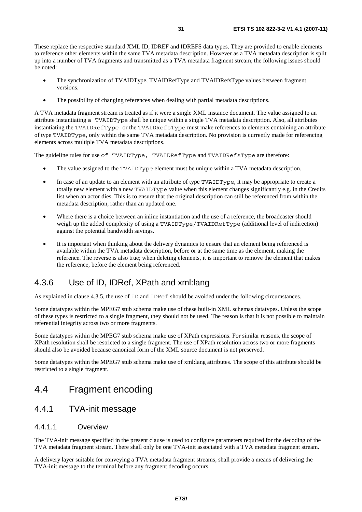These replace the respective standard XML ID, IDREF and IDREFS data types. They are provided to enable elements to reference other elements within the same TVA metadata description. However as a TVA metadata description is split up into a number of TVA fragments and transmitted as a TVA metadata fragment stream, the following issues should be noted:

- The synchronization of TVAIDType, TVAIDRefType and TVAIDRefsType values between fragment versions.
- The possibility of changing references when dealing with partial metadata descriptions.

A TVA metadata fragment stream is treated as if it were a single XML instance document. The value assigned to an attribute instantiating a TVAIDType shall be unique within a single TVA metadata description. Also, all attributes instantiating the TVAIDRefType or the TVAIDRefsType must make references to elements containing an attribute of type TVAIDType, only within the same TVA metadata description. No provision is currently made for referencing elements across multiple TVA metadata descriptions.

The guideline rules for use of TVAIDType, TVAIDRefType and TVAIDRefsType are therefore:

- The value assigned to the TVAIDType element must be unique within a TVA metadata description.
- In case of an update to an element with an attribute of type TVAIDType, it may be appropriate to create a totally new element with a new TVAIDType value when this element changes significantly e.g. in the Credits list when an actor dies. This is to ensure that the original description can still be referenced from within the metadata description, rather than an updated one.
- Where there is a choice between an inline instantiation and the use of a reference, the broadcaster should weigh up the added complexity of using a TVAIDType/TVAIDRefType (additional level of indirection) against the potential bandwidth savings.
- It is important when thinking about the delivery dynamics to ensure that an element being referenced is available within the TVA metadata description, before or at the same time as the element, making the reference. The reverse is also true; when deleting elements, it is important to remove the element that makes the reference, before the element being referenced.

# 4.3.6 Use of ID, IDRef, XPath and xml:lang

As explained in clause 4.3.5, the use of ID and IDRef should be avoided under the following circumstances.

Some datatypes within the MPEG7 stub schema make use of these built-in XML schemas datatypes. Unless the scope of these types is restricted to a single fragment, they should not be used. The reason is that it is not possible to maintain referential integrity across two or more fragments.

Some datatypes within the MPEG7 stub schema make use of XPath expressions. For similar reasons, the scope of XPath resolution shall be restricted to a single fragment. The use of XPath resolution across two or more fragments should also be avoided because canonical form of the XML source document is not preserved.

Some datatypes within the MPEG7 stub schema make use of xml:lang attributes. The scope of this attribute should be restricted to a single fragment.

# 4.4 Fragment encoding

### 4.4.1 TVA-init message

#### 4.4.1.1 Overview

The TVA-init message specified in the present clause is used to configure parameters required for the decoding of the TVA metadata fragment stream. There shall only be one TVA-init associated with a TVA metadata fragment stream.

A delivery layer suitable for conveying a TVA metadata fragment streams, shall provide a means of delivering the TVA-init message to the terminal before any fragment decoding occurs.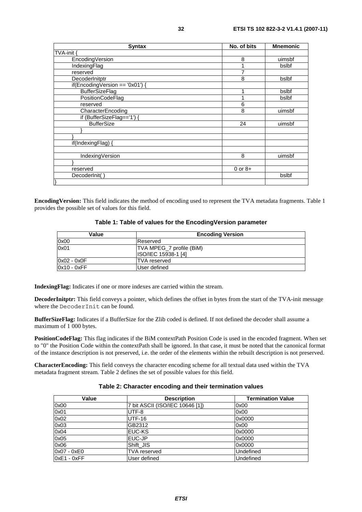| <b>Syntax</b>                   | No. of bits | <b>Mnemonic</b> |
|---------------------------------|-------------|-----------------|
| TVA-init {                      |             |                 |
| EncodingVersion                 | 8           | uimsbf          |
| IndexingFlag                    |             | bslbf           |
| reserved                        | 7           |                 |
| DecoderInitptr                  | 8           | bslbf           |
| if(EncodingVersion == '0x01') { |             |                 |
| <b>BufferSizeFlag</b>           |             | bslbf           |
| PositionCodeFlag                |             | bslbf           |
| reserved                        | 6           |                 |
| CharacterEncoding               | 8           | uimsbf          |
| if (BufferSizeFlag=='1') {      |             |                 |
| <b>BufferSize</b>               | 24          | uimsbf          |
|                                 |             |                 |
|                                 |             |                 |
| if(IndexingFlag)                |             |                 |
|                                 |             |                 |
| IndexingVersion                 | 8           | uimsbf          |
|                                 |             |                 |
| reserved                        | $0$ or $8+$ |                 |
| DecoderInit()                   |             | bslbf           |
|                                 |             |                 |

**EncodingVersion:** This field indicates the method of encoding used to represent the TVA metadata fragments. Table 1 provides the possible set of values for this field.

|  | Table 1: Table of values for the EncodingVersion parameter |
|--|------------------------------------------------------------|
|--|------------------------------------------------------------|

| Value         | <b>Encoding Version</b>    |
|---------------|----------------------------|
| 0x00          | <b>IReserved</b>           |
| 0x01          | TVA MPEG_7 profile (BiM)   |
|               | <b>ISO/IEC 15938-1 [4]</b> |
| l0x02 - 0x0F  | <b>TVA</b> reserved        |
| $0x10 - 0xFF$ | User defined               |

**IndexingFlag:** Indicates if one or more indexes are carried within the stream.

**DecoderInitptr:** This field conveys a pointer, which defines the offset in bytes from the start of the TVA-init message where the DecoderInit can be found.

**BufferSizeFlag:** Indicates if a BufferSize for the Zlib coded is defined. If not defined the decoder shall assume a maximum of 1 000 bytes.

**PositionCodeFlag:** This flag indicates if the BiM contextPath Position Code is used in the encoded fragment. When set to "0" the Position Code within the contextPath shall be ignored. In that case, it must be noted that the canonical format of the instance description is not preserved, i.e. the order of the elements within the rebuilt description is not preserved.

**CharacterEncoding:** This field conveys the character encoding scheme for all textual data used within the TVA metadata fragment stream. Table 2 defines the set of possible values for this field.

#### **Table 2: Character encoding and their termination values**

| Value         | <b>Description</b>              | <b>Termination Value</b> |
|---------------|---------------------------------|--------------------------|
| 0x00          | 7 bit ASCII (ISO/IEC 10646 [1]) | 0x00                     |
| 0x01          | UTF-8                           | 0x00                     |
| 0x02          | <b>UTF-16</b>                   | 0x0000                   |
| 0x03          | GB2312                          | 0x00                     |
| 0x04          | IEUC-KS                         | 0x0000                   |
| 0x05          | <b>IEUC-JP</b>                  | 0x0000                   |
| 0x06          | Shift JIS                       | 0x0000                   |
| $0x07 - 0xE0$ | <b>TVA</b> reserved             | <b>Undefined</b>         |
| $0xE1 - 0xFF$ | User defined                    | <b>Undefined</b>         |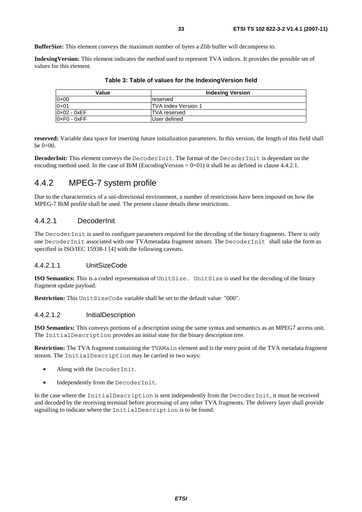**BufferSize:** This element conveys the maximum number of bytes a Zlib buffer will decompress to.

**IndexingVersion:** This element indicates the method used to represent TVA indices. It provides the possible set of values for this element.

| Value                       | <b>Indexing Version</b> |
|-----------------------------|-------------------------|
| $0 \times 00$               | <b>Ireserved</b>        |
| $0 \times 01$               | ITVA Index Version 1    |
| $0 \times 02 - 0 \times FF$ | TVA reserved            |
| $0 \times F0 - 0 \times FF$ | User defined            |

**Table 3: Table of values for the IndexingVersion field** 

**reserved:** Variable data space for inserting future initialization parameters. In this version, the length of this field shall be  $0\times 00$ .

**DecoderInit:** This element conveys the DecoderInit. The format of the DecoderInit is dependant on the encoding method used. In the case of BiM (EncodingVersion =  $0 \times 01$ ) it shall be as defined in clause 4.4.2.1.

# 4.4.2 MPEG-7 system profile

Due to the characteristics of a uni-directional environment, a number of restrictions have been imposed on how the MPEG-7 BiM profile shall be used. The present clause details these restrictions.

#### 4.4.2.1 DecoderInit

The DecoderInit is used to configure parameters required for the decoding of the binary fragments. There is only one DecoderInit associated with one TVAmetadata fragment stream. The DecoderInit shall take the form as specified in ISO/IEC 15938-1 [4] with the following caveats.

#### 4.4.2.1.1 UnitSizeCode

**ISO Semantics:** This is a coded representation of UnitSize. UnitSize is used for the decoding of the binary fragment update payload.

**Restriction:** This UnitSizeCode variable shall be set to the default value: "000".

#### 4.4.2.1.2 InitialDescription

**ISO Semantics:** This conveys portions of a description using the same syntax and semantics as an MPEG7 access unit. The InitialDescription provides an initial state for the binary description tree.

**Restriction:** The TVA fragment containing the TVAMain element and is the entry point of the TVA metadata fragment stream. The InitialDescription may be carried in two ways:

- Along with the DecoderInit.
- Independently from the DecoderInit.

In the case where the InitialDescription is sent independently from the DecoderInit, it must be received and decoded by the receiving terminal before processing of any other TVA fragments. The delivery layer shall provide signalling to indicate where the InitialDescription is to be found.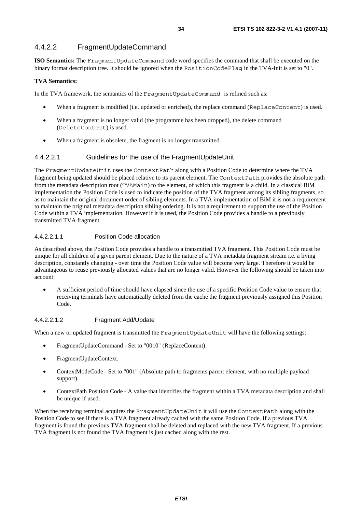### 4.4.2.2 FragmentUpdateCommand

**ISO Semantics:** The FragmentUpdateCommand code word specifies the command that shall be executed on the binary format description tree. It should be ignored when the PositionCodeFlag in the TVA-Init is set to "0".

#### **TVA Semantics:**

In the TVA framework, the semantics of the FragmentUpdateCommand is refined such as:

- When a fragment is modified (i.e. updated or enriched), the replace command (ReplaceContent) is used.
- When a fragment is no longer valid (the programme has been dropped), the delete command (DeleteContent) is used.
- When a fragment is obsolete, the fragment is no longer transmitted.

#### 4.4.2.2.1 Guidelines for the use of the FragmentUpdateUnit

The FragmentUpdateUnit uses the ContextPath along with a Position Code to determine where the TVA fragment being updated should be placed relative to its parent element. The ContextPath provides the absolute path from the metadata description root (TVAMain) to the element, of which this fragment is a child. In a classical BiM implementation the Position Code is used to indicate the position of the TVA fragment among its sibling fragments, so as to maintain the original document order of sibling elements. In a TVA implementation of BiM it is not a requirement to maintain the original metadata description sibling ordering. It is not a requirement to support the use of the Position Code within a TVA implementation. However if it is used, the Position Code provides a handle to a previously transmitted TVA fragment.

#### 4.4.2.2.1.1 Position Code allocation

As described above, the Position Code provides a handle to a transmitted TVA fragment. This Position Code must be unique for all children of a given parent element. Due to the nature of a TVA metadata fragment stream i.e. a living description, constantly changing - over time the Position Code value will become very large. Therefore it would be advantageous to reuse previously allocated values that are no longer valid. However the following should be taken into account:

• A sufficient period of time should have elapsed since the use of a specific Position Code value to ensure that receiving terminals have automatically deleted from the cache the fragment previously assigned this Position Code.

#### 4.4.2.2.1.2 Fragment Add/Update

When a new or updated fragment is transmitted the FragmentUpdateUnit will have the following settings:

- FragmentUpdateCommand Set to "0010" (ReplaceContent).
- FragmentUpdateContext.
- ContextModeCode Set to "001" (Absolute path to fragments parent element, with no multiple payload support).
- ContextPath Position Code A value that identifies the fragment within a TVA metadata description and shall be unique if used.

When the receiving terminal acquires the FragmentUpdateUnit it will use the ContextPath along with the Position Code to see if there is a TVA fragment already cached with the same Position Code. If a previous TVA fragment is found the previous TVA fragment shall be deleted and replaced with the new TVA fragment. If a previous TVA fragment is not found the TVA fragment is just cached along with the rest.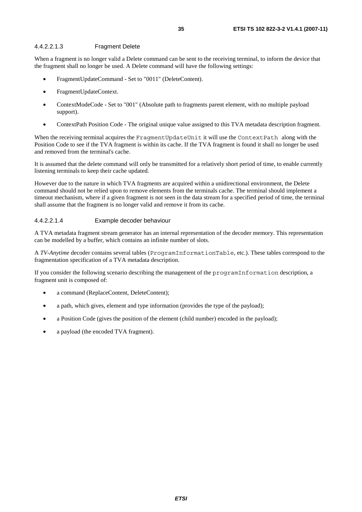#### 4.4.2.2.1.3 Fragment Delete

When a fragment is no longer valid a Delete command can be sent to the receiving terminal, to inform the device that the fragment shall no longer be used. A Delete command will have the following settings:

- FragmentUpdateCommand Set to "0011" (DeleteContent).
- FragmentUpdateContext.
- ContextModeCode Set to "001" (Absolute path to fragments parent element, with no multiple payload support).
- ContextPath Position Code The original unique value assigned to this TVA metadata description fragment.

When the receiving terminal acquires the FragmentUpdateUnit it will use the ContextPath along with the Position Code to see if the TVA fragment is within its cache. If the TVA fragment is found it shall no longer be used and removed from the terminal's cache.

It is assumed that the delete command will only be transmitted for a relatively short period of time, to enable currently listening terminals to keep their cache updated.

However due to the nature in which TVA fragments are acquired within a unidirectional environment, the Delete command should not be relied upon to remove elements from the terminals cache. The terminal should implement a timeout mechanism, where if a given fragment is not seen in the data stream for a specified period of time, the terminal shall assume that the fragment is no longer valid and remove it from its cache.

#### 4.4.2.2.1.4 Example decoder behaviour

A TVA metadata fragment stream generator has an internal representation of the decoder memory. This representation can be modelled by a buffer, which contains an infinite number of slots.

A *TV-Anytime* decoder contains several tables (ProgramInformationTable, etc.). These tables correspond to the fragmentation specification of a TVA metadata description.

If you consider the following scenario describing the management of the programInformation description, a fragment unit is composed of:

- a command (ReplaceContent, DeleteContent);
- a path, which gives, element and type information (provides the type of the payload);
- a Position Code (gives the position of the element (child number) encoded in the payload);
- a payload (the encoded TVA fragment).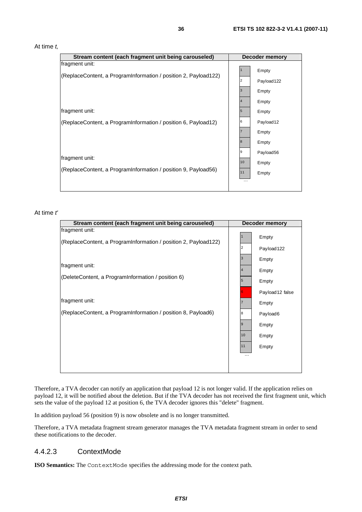#### At time *t,*

| Stream content (each fragment unit being carouseled)            |          | <b>Decoder memory</b> |
|-----------------------------------------------------------------|----------|-----------------------|
| fragment unit:                                                  |          |                       |
| (ReplaceContent, a ProgramInformation / position 2, Payload122) |          | Empty                 |
|                                                                 | 2        | Payload 122           |
|                                                                 | 13       | Empty                 |
|                                                                 | 14       | Empty                 |
| fragment unit:                                                  | 5        | Empty                 |
| (ReplaceContent, a ProgramInformation / position 6, Payload12)  | l6       | Payload <sub>12</sub> |
|                                                                 |          | Empty                 |
|                                                                 | 8        | Empty                 |
| fragment unit:                                                  | 19       | Payload56             |
|                                                                 | 10       | Empty                 |
| (ReplaceContent, a ProgramInformation / position 9, Payload56)  | 11       | Empty                 |
|                                                                 | $\cdots$ |                       |

#### At time *t'*

| Stream content (each fragment unit being carouseled)                              |                          | <b>Decoder memory</b>                                           |  |
|-----------------------------------------------------------------------------------|--------------------------|-----------------------------------------------------------------|--|
| fragment unit:<br>(ReplaceContent, a ProgramInformation / position 2, Payload122) | $\overline{2}$           | Empty<br>Payload122                                             |  |
| fragment unit:<br>(DeleteContent, a ProgramInformation / position 6)              | 3<br>4<br>5              | Empty<br>Empty<br>Empty                                         |  |
| fragment unit:<br>(ReplaceContent, a ProgramInformation / position 8, Payload6)   | 8<br>19<br>10<br>11<br>. | Payload12 false<br>Empty<br>Payload6<br>Empty<br>Empty<br>Empty |  |

Therefore, a TVA decoder can notify an application that payload 12 is not longer valid. If the application relies on payload 12, it will be notified about the deletion. But if the TVA decoder has not received the first fragment unit, which sets the value of the payload 12 at position 6, the TVA decoder ignores this "delete" fragment.

In addition payload 56 (position 9) is now obsolete and is no longer transmitted.

Therefore, a TVA metadata fragment stream generator manages the TVA metadata fragment stream in order to send these notifications to the decoder.

#### 4.4.2.3 ContextMode

**ISO Semantics:** The ContextMode specifies the addressing mode for the context path.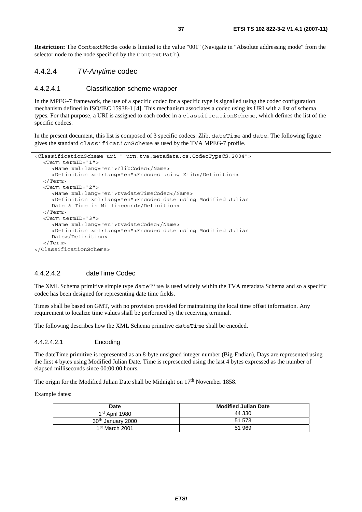**Restriction:** The ContextMode code is limited to the value "001" (Navigate in "Absolute addressing mode" from the selector node to the node specified by the ContextPath).

### 4.4.2.4 *TV-Anytime* codec

### 4.4.2.4.1 Classification scheme wrapper

In the MPEG-7 framework, the use of a specific codec for a specific type is signalled using the codec configuration mechanism defined in ISO/IEC 15938-1 [4]. This mechanism associates a codec using its URI with a list of schema types. For that purpose, a URI is assigned to each codec in a classificationScheme, which defines the list of the specific codecs.

In the present document, this list is composed of 3 specific codecs: Zlib, dateTime and date. The following figure gives the standard classificationScheme as used by the TVA MPEG-7 profile.

```
<ClassificationScheme uri=" urn:tva:metadata:cs:CodecTypeCS:2004"> 
   <Term termID="1"> 
      <Name xml:lang="en">ZlibCodec</Name> 
      <Definition xml:lang="en">Encodes using Zlib</Definition> 
   </Term> 
   <Term termID="2"> 
      <Name xml:lang="en">tvadateTimeCodec</Name> 
      <Definition xml:lang="en">Encodes date using Modified Julian 
    Date & Time in Millisecond</Definition>
   </Term> 
   <Term termID="3"> 
      <Name xml:lang="en">tvadateCodec</Name> 
      <Definition xml:lang="en">Encodes date using Modified Julian 
      Date</Definition> 
   </Term> 
</ClassificationScheme>
```
### 4.4.2.4.2 dateTime Codec

The XML Schema primitive simple type dateTime is used widely within the TVA metadata Schema and so a specific codec has been designed for representing date time fields.

Times shall be based on GMT, with no provision provided for maintaining the local time offset information. Any requirement to localize time values shall be performed by the receiving terminal.

The following describes how the XML Schema primitive dateTime shall be encoded.

### 4.4.2.4.2.1 Encoding

The dateTime primitive is represented as an 8-byte unsigned integer number (Big-Endian), Days are represented using the first 4 bytes using Modified Julian Date. Time is represented using the last 4 bytes expressed as the number of elapsed milliseconds since 00:00:00 hours.

The origin for the Modified Julian Date shall be Midnight on 17<sup>th</sup> November 1858.

Example dates:

| Date                          | <b>Modified Julian Date</b> |
|-------------------------------|-----------------------------|
| 1st April 1980                | 44 330                      |
| 30 <sup>th</sup> January 2000 | 51 573                      |
| 1 <sup>st</sup> March 2001    | 51 969                      |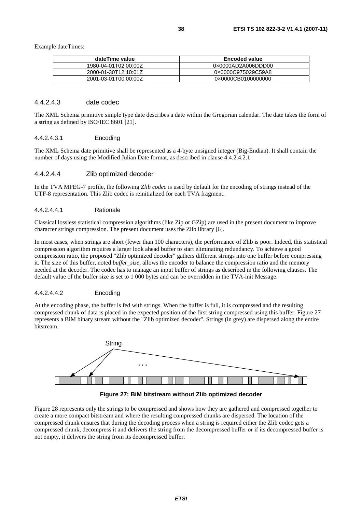Example dateTimes:

| dateTime value       | <b>Encoded value</b> |
|----------------------|----------------------|
| 1980-04-01T02:00:00Z | 0x0000AD2A006DDD00   |
| 2000-01-30T12:10:01Z | 0×0000C975029C59A8   |
| 2001-03-01T00:00:00Z | 0×0000CB0100000000   |

### 4.4.2.4.3 date codec

The XML Schema primitive simple type date describes a date within the Gregorian calendar. The date takes the form of a string as defined by ISO/IEC 8601 [21].

### 4.4.2.4.3.1 Encoding

The XML Schema date primitive shall be represented as a 4-byte unsigned integer (Big-Endian). It shall contain the number of days using the Modified Julian Date format, as described in clause 4.4.2.4.2.1.

### 4.4.2.4.4 Zlib optimized decoder

In the TVA MPEG-7 profile, the following *Zlib codec* is used by default for the encoding of strings instead of the UTF-8 representation. This Zlib codec is reinitialized for each TVA fragment.

#### 4.4.2.4.4.1 Rationale

Classical lossless statistical compression algorithms (like Zip or GZip) are used in the present document to improve character strings compression. The present document uses the Zlib library [6].

In most cases, when strings are short (fewer than 100 characters), the performance of Zlib is poor. Indeed, this statistical compression algorithm requires a larger look ahead buffer to start eliminating redundancy. To achieve a good compression ratio, the proposed "Zlib optimized decoder" gathers different strings into one buffer before compressing it. The size of this buffer, noted *buffer*\_*size,* allows the encoder to balance the compression ratio and the memory needed at the decoder. The codec has to manage an input buffer of strings as described in the following clauses. The default value of the buffer size is set to 1 000 bytes and can be overridden in the TVA-init Message.

### 4.4.2.4.4.2 Encoding

At the encoding phase, the buffer is fed with strings. When the buffer is full, it is compressed and the resulting compressed chunk of data is placed in the expected position of the first string compressed using this buffer. Figure 27 represents a BiM binary stream without the "Zlib optimized decoder". Strings (in grey) are dispersed along the entire bitstream.





Figure 28 represents only the strings to be compressed and shows how they are gathered and compressed together to create a more compact bitstream and where the resulting compressed chunks are dispersed. The location of the compressed chunk ensures that during the decoding process when a string is required either the Zlib codec gets a compressed chunk, decompress it and delivers the string from the decompressed buffer or if its decompressed buffer is not empty, it delivers the string from its decompressed buffer.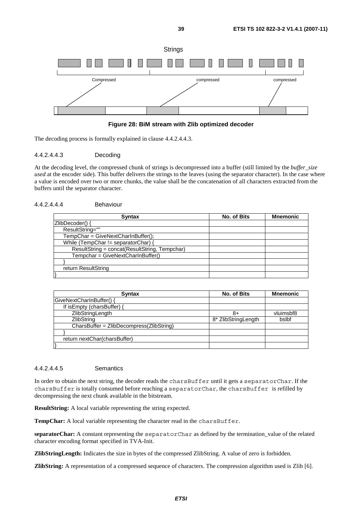

### **Figure 28: BiM stream with Zlib optimized decoder**

The decoding process is formally explained in clause 4.4.2.4.4.3.

### 4.4.2.4.4.3 Decoding

At the decoding level, the compressed chunk of strings is decompressed into a buffer (still limited by the *buffer*\_*size used* at the encoder side). This buffer delivers the strings to the leaves (using the separator character). In the case where a value is encoded over two or more chunks, the value shall be the concatenation of all characters extracted from the buffers until the separator character.

### 4.4.2.4.4.4 Behaviour

| <b>Syntax</b>                                 | No. of Bits | <b>Mnemonic</b> |
|-----------------------------------------------|-------------|-----------------|
| ZlibDecoder() {                               |             |                 |
| ResultString=""                               |             |                 |
| TempChar = GiveNextCharInBuffer();            |             |                 |
| While (TempChar != separatorChar) {           |             |                 |
| ResultString = concat(ResultString, Tempchar) |             |                 |
| Tempchar = GiveNextCharInBuffer()             |             |                 |
|                                               |             |                 |
| return ResultString                           |             |                 |
|                                               |             |                 |

| <b>Syntax</b>                            | No. of Bits         | <b>Mnemonic</b> |
|------------------------------------------|---------------------|-----------------|
| GiveNextCharInBuffer() {                 |                     |                 |
| If is Empty (chars Buffer) {             |                     |                 |
| ZlibStringLength                         | 8+                  | vluimsbf8       |
| <b>ZlibString</b>                        | 8* ZlibStringLength | bslbf           |
| CharsBuffer = ZlibDecompress(ZlibString) |                     |                 |
|                                          |                     |                 |
| return nextChar(charsBuffer)             |                     |                 |
|                                          |                     |                 |

#### 4.4.2.4.4.5 Semantics

In order to obtain the next string, the decoder reads the charsBuffer until it gets a separatorChar. If the charsBuffer is totally consumed before reaching a separatorChar, the charsBuffer is refilled by decompressing the next chunk available in the bitstream.

**ResultString:** A local variable representing the string expected.

TempChar: A local variable representing the character read in the charsBuffer.

**separatorChar:** A constant representing the separatorChar as defined by the termination\_value of the related character encoding format specified in TVA-Init.

**ZlibStringLength:** Indicates the size in bytes of the compressed ZlibString. A value of zero is forbidden.

**ZlibString:** A representation of a compressed sequence of characters. The compression algorithm used is Zlib [6].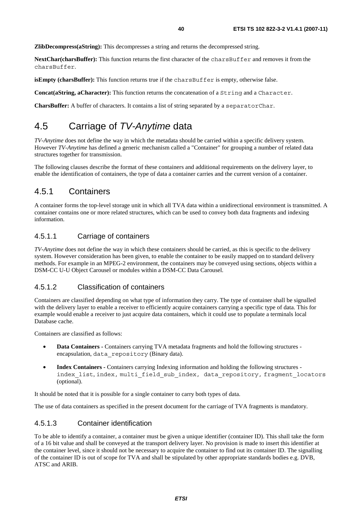**ZlibDecompress(aString):** This decompresses a string and returns the decompressed string.

**NextChar(charsBuffer):** This function returns the first character of the charsBuffer and removes it from the charsBuffer.

**isEmpty (charsBuffer):** This function returns true if the charsBuffer is empty, otherwise false.

**Concat(aString, aCharacter):** This function returns the concatenation of a String and a Character.

**CharsBuffer:** A buffer of characters. It contains a list of string separated by a separatorChar.

## 4.5 Carriage of *TV-Anytime* data

*TV-Anytime* does not define the way in which the metadata should be carried within a specific delivery system. However *TV-Anytime* has defined a generic mechanism called a "Container" for grouping a number of related data structures together for transmission.

The following clauses describe the format of these containers and additional requirements on the delivery layer, to enable the identification of containers, the type of data a container carries and the current version of a container.

## 4.5.1 Containers

A container forms the top-level storage unit in which all TVA data within a unidirectional environment is transmitted. A container contains one or more related structures, which can be used to convey both data fragments and indexing information.

### 4.5.1.1 Carriage of containers

*TV-Anytime* does not define the way in which these containers should be carried, as this is specific to the delivery system. However consideration has been given, to enable the container to be easily mapped on to standard delivery methods. For example in an MPEG-2 environment, the containers may be conveyed using sections, objects within a DSM-CC U-U Object Carousel or modules within a DSM-CC Data Carousel.

### 4.5.1.2 Classification of containers

Containers are classified depending on what type of information they carry. The type of container shall be signalled with the delivery layer to enable a receiver to efficiently acquire containers carrying a specific type of data. This for example would enable a receiver to just acquire data containers, which it could use to populate a terminals local Database cache.

Containers are classified as follows:

- **Data Containers** Containers carrying TVA metadata fragments and hold the following structures encapsulation, data repository (Binary data).
- **Index Containers** Containers carrying Indexing information and holding the following structures index list, index, multi field sub index, data repository, fragment locators (optional).

It should be noted that it is possible for a single container to carry both types of data.

The use of data containers as specified in the present document for the carriage of TVA fragments is mandatory.

### 4.5.1.3 Container identification

To be able to identify a container, a container must be given a unique identifier (container ID). This shall take the form of a 16 bit value and shall be conveyed at the transport delivery layer. No provision is made to insert this identifier at the container level, since it should not be necessary to acquire the container to find out its container ID. The signalling of the container ID is out of scope for TVA and shall be stipulated by other appropriate standards bodies e.g. DVB, ATSC and ARIB.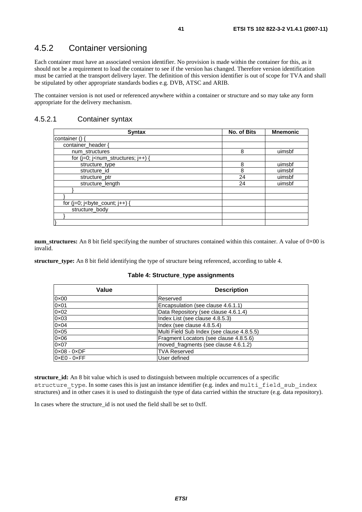## 4.5.2 Container versioning

Each container must have an associated version identifier. No provision is made within the container for this, as it should not be a requirement to load the container to see if the version has changed. Therefore version identification must be carried at the transport delivery layer. The definition of this version identifier is out of scope for TVA and shall be stipulated by other appropriate standards bodies e.g. DVB, ATSC and ARIB.

The container version is not used or referenced anywhere within a container or structure and so may take any form appropriate for the delivery mechanism.

### 4.5.2.1 Container syntax

| <b>Syntax</b>                                                        | No. of Bits | <b>Mnemonic</b> |
|----------------------------------------------------------------------|-------------|-----------------|
| container () ·                                                       |             |                 |
| container_header {                                                   |             |                 |
| num structures                                                       | 8           | uimsbf          |
| for ( $j=0$ ; $j$ <num_structures; <math="">j++) {</num_structures;> |             |                 |
| structure_type                                                       | 8           | uimsbf          |
| structure_id                                                         | 8           | uimsbf          |
| structure_ptr                                                        | 24          | uimsbf          |
| structure length                                                     | 24          | uimsbf          |
|                                                                      |             |                 |
|                                                                      |             |                 |
| for $(j=0; j<$ byte_count; $j++$ ) {                                 |             |                 |
| structure_body                                                       |             |                 |
|                                                                      |             |                 |
|                                                                      |             |                 |

**num\_structures:** An 8 bit field specifying the number of structures contained within this container. A value of 0×00 is invalid.

**structure\_type:** An 8 bit field identifying the type of structure being referenced, according to table 4.

| Value                       | <b>Description</b>                         |
|-----------------------------|--------------------------------------------|
| $0 \times 00$               | <b>Reserved</b>                            |
| $0 \times 01$               | Encapsulation (see clause 4.6.1.1)         |
| $0 \times 02$               | Data Repository (see clause 4.6.1.4)       |
| $0 \times 03$               | Index List (see clause 4.8.5.3)            |
| $0 \times 04$               | Index (see clause 4.8.5.4)                 |
| $0 \times 05$               | Multi Field Sub Index (see clause 4.8.5.5) |
| $0 \times 06$               | Fragment Locators (see clause 4.8.5.6)     |
| $0\times 07$                | moved fragments (see clause 4.6.1.2)       |
| $0 \times 08 - 0 \times DF$ | <b>TVA Reserved</b>                        |
| $0 \times E0 - 0 \times FF$ | User defined                               |

### **Table 4: Structure\_type assignments**

**structure id:** An 8 bit value which is used to distinguish between multiple occurrences of a specific structure type. In some cases this is just an instance identifier (e.g. index and multi field sub index structures) and in other cases it is used to distinguish the type of data carried within the structure (e.g. data repository).

In cases where the structure id is not used the field shall be set to 0xff.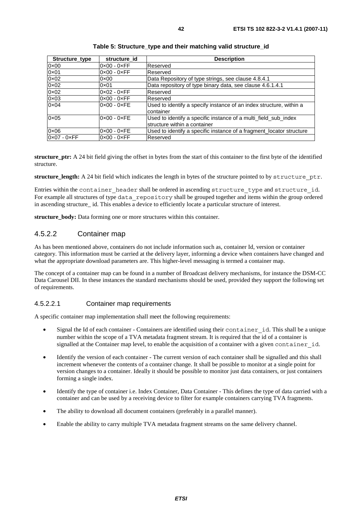| Structure_type | structure id                | <b>Description</b>                                                                              |
|----------------|-----------------------------|-------------------------------------------------------------------------------------------------|
| $0 \times 00$  | $0 \times 00 - 0 \times FF$ | <b>Reserved</b>                                                                                 |
| $0 \times 01$  | $0 \times 00 - 0 \times FF$ | <b>Reserved</b>                                                                                 |
| $0 \times 02$  | $0 \times 00$               | Data Repository of type strings, see clause 4.8.4.1                                             |
| $0 \times 02$  | $0 \times 01$               | Data repository of type binary data, see clause 4.6.1.4.1                                       |
| $0 \times 02$  | $0 \times 02 - 0 \times FF$ | <b>Reserved</b>                                                                                 |
| $0 \times 03$  | $0 \times 00 - 0 \times FF$ | <b>Reserved</b>                                                                                 |
| $0 \times 04$  | $0 \times 00 - 0 \times FE$ | Used to identify a specify instance of an index structure, within a<br>container                |
| $0 \times 05$  | $0 \times 00 - 0 \times FE$ | Used to identify a specific instance of a multi_field_sub_index<br>structure within a container |
| $0 \times 06$  | $0 \times 00 - 0 \times FE$ | Used to identify a specific instance of a fragment_locator structure                            |
| $0x07 - 0xFF$  | $0 \times 00 - 0 \times FF$ | Reserved                                                                                        |

#### **Table 5: Structure\_type and their matching valid structure\_id**

**structure** ptr: A 24 bit field giving the offset in bytes from the start of this container to the first byte of the identified structure.

**structure length:** A 24 bit field which indicates the length in bytes of the structure pointed to by structure ptr.

Entries within the container header shall be ordered in ascending structure type and structure id. For example all structures of type data repository shall be grouped together and items within the group ordered in ascending structure id. This enables a device to efficiently locate a particular structure of interest.

**structure** body: Data forming one or more structures within this container.

### 4.5.2.2 Container map

As has been mentioned above, containers do not include information such as, container Id, version or container category. This information must be carried at the delivery layer, informing a device when containers have changed and what the appropriate download parameters are. This higher-level messaging is termed a container map.

The concept of a container map can be found in a number of Broadcast delivery mechanisms, for instance the DSM-CC Data Carousel DII. In these instances the standard mechanisms should be used, provided they support the following set of requirements.

### 4.5.2.2.1 Container map requirements

A specific container map implementation shall meet the following requirements:

- Signal the Id of each container Containers are identified using their container  $id$ . This shall be a unique number within the scope of a TVA metadata fragment stream. It is required that the id of a container is signalled at the Container map level, to enable the acquisition of a container with a given container id.
- Identify the version of each container The current version of each container shall be signalled and this shall increment whenever the contents of a container change. It shall be possible to monitor at a single point for version changes to a container. Ideally it should be possible to monitor just data containers, or just containers forming a single index.
- Identify the type of container i.e. Index Container, Data Container This defines the type of data carried with a container and can be used by a receiving device to filter for example containers carrying TVA fragments.
- The ability to download all document containers (preferably in a parallel manner).
- Enable the ability to carry multiple TVA metadata fragment streams on the same delivery channel.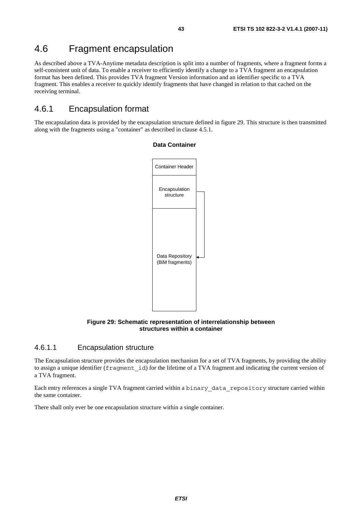## 4.6 Fragment encapsulation

As described above a TVA-Anytime metadata description is split into a number of fragments, where a fragment forms a self-consistent unit of data. To enable a receiver to efficiently identify a change to a TVA fragment an encapsulation format has been defined. This provides TVA fragment Version information and an identifier specific to a TVA fragment. This enables a receiver to quickly identify fragments that have changed in relation to that cached on the receiving terminal.

## 4.6.1 Encapsulation format

The encapsulation data is provided by the encapsulation structure defined in figure 29. This structure is then transmitted along with the fragments using a "container" as described in clause 4.5.1.



### **Data Container**

**Figure 29: Schematic representation of interrelationship between structures within a container** 

### 4.6.1.1 Encapsulation structure

The Encapsulation structure provides the encapsulation mechanism for a set of TVA fragments, by providing the ability to assign a unique identifier (fragment id) for the lifetime of a TVA fragment and indicating the current version of a TVA fragment.

Each entry references a single TVA fragment carried within a binary\_data\_repository structure carried within the same container.

There shall only ever be one encapsulation structure within a single container.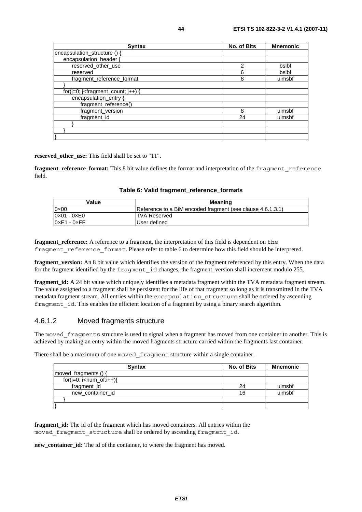| <b>Syntax</b>                               | No. of Bits | <b>Mnemonic</b> |
|---------------------------------------------|-------------|-----------------|
| encapsulation_structure () {                |             |                 |
| encapsulation_header {                      |             |                 |
| reserved_other_use                          | 2           | bslbf           |
| reserved                                    | ิค          | bslbf           |
| fragment_reference_format                   | 8           | uimsbf          |
|                                             |             |                 |
| for( $j=0$ ; $j$ -fragment_count; $j++$ ) { |             |                 |
| encapsulation_entry {                       |             |                 |
| fragment_reference()                        |             |                 |
| fragment_version                            | 8           | uimsbf          |
| fragment id                                 | 24          | uimsbf          |
|                                             |             |                 |
|                                             |             |                 |
|                                             |             |                 |

**reserved\_other\_use:** This field shall be set to "11".

**fragment\_reference\_format:** This 8 bit value defines the format and interpretation of the fragment reference field.

| Value             | Meaning                                                    |
|-------------------|------------------------------------------------------------|
| 0×00              | Reference to a BiM encoded fragment (see clause 4.6.1.3.1) |
| 0×01 - 0×E0       | ITVA Reserved                                              |
| $0$ xE1 - $0$ xFF | User defined                                               |

**Table 6: Valid fragment\_reference\_formats** 

**fragment** reference: A reference to a fragment, the interpretation of this field is dependent on the fragment reference format. Please refer to table 6 to determine how this field should be interpreted.

**fragment\_version:** An 8 bit value which identifies the version of the fragment referenced by this entry. When the data for the fragment identified by the fragment\_id changes, the fragment\_version shall increment modulo 255.

**fragment id:** A 24 bit value which uniquely identifies a metadata fragment within the TVA metadata fragment stream. The value assigned to a fragment shall be persistent for the life of that fragment so long as it is transmitted in the TVA metadata fragment stream. All entries within the encapsulation structure shall be ordered by ascending fragment id. This enables the efficient location of a fragment by using a binary search algorithm.

### 4.6.1.2 Moved fragments structure

The moved fragments structure is used to signal when a fragment has moved from one container to another. This is achieved by making an entry within the moved fragments structure carried within the fragments last container.

There shall be a maximum of one moved\_fragment structure within a single container.

| <b>Syntax</b>             | No. of Bits | Mnemonic |
|---------------------------|-------------|----------|
| moved_fragments () {      |             |          |
| $for(i=0; i< num_of;i++)$ |             |          |
| fragment_id               | 24          | uimsbf   |
| new container id          | 16          | uimsbf   |
|                           |             |          |
|                           |             |          |

**fragment id:** The id of the fragment which has moved containers. All entries within the moved fragment structure shall be ordered by ascending fragment id.

**new\_container\_id:** The id of the container, to where the fragment has moved.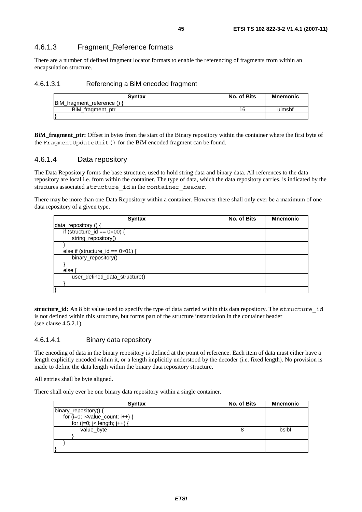### 4.6.1.3 Fragment\_Reference formats

There are a number of defined fragment locator formats to enable the referencing of fragments from within an encapsulation structure.

### 4.6.1.3.1 Referencing a BiM encoded fragment

| <b>Syntax</b>               | No. of Bits | <b>Mnemonic</b> |
|-----------------------------|-------------|-----------------|
| BiM_fragment_reference () { |             |                 |
| BiM fragment ptr            | 16          | uimsbf          |
|                             |             |                 |

**BiM\_fragment\_ptr:** Offset in bytes from the start of the Binary repository within the container where the first byte of the FragmentUpdateUnit() for the BiM encoded fragment can be found.

### 4.6.1.4 Data repository

The Data Repository forms the base structure, used to hold string data and binary data. All references to the data repository are local i.e. from within the container. The type of data, which the data repository carries, is indicated by the structures associated structure id in the container header.

There may be more than one Data Repository within a container. However there shall only ever be a maximum of one data repository of a given type.

| <b>Syntax</b>                              | No. of Bits | <b>Mnemonic</b> |
|--------------------------------------------|-------------|-----------------|
| data_repository () {                       |             |                 |
| if (structure_id == $0 \times 00$ ) {      |             |                 |
| string_repository()                        |             |                 |
|                                            |             |                 |
| else if (structure_id == $0 \times 01$ ) { |             |                 |
| binary_repository()                        |             |                 |
|                                            |             |                 |
| else                                       |             |                 |
| user_defined_data_structure()              |             |                 |
|                                            |             |                 |
|                                            |             |                 |

**structure\_id:** An 8 bit value used to specify the type of data carried within this data repository. The structure\_id is not defined within this structure, but forms part of the structure instantiation in the container header (see clause 4.5.2.1).

### 4.6.1.4.1 Binary data repository

The encoding of data in the binary repository is defined at the point of reference. Each item of data must either have a length explicitly encoded within it, or a length implicitly understood by the decoder (i.e. fixed length). No provision is made to define the data length within the binary data repository structure.

All entries shall be byte aligned.

There shall only ever be one binary data repository within a single container.

| <b>Syntax</b>                         | No. of Bits | <b>Mnemonic</b> |
|---------------------------------------|-------------|-----------------|
| binary_repository() {                 |             |                 |
| for $(i=0; i<$ value_count; $i++$ ) { |             |                 |
| for $(j=0; j<$ length; $j++)$ {       |             |                 |
| value_byte                            |             | bslbt           |
|                                       |             |                 |
|                                       |             |                 |
|                                       |             |                 |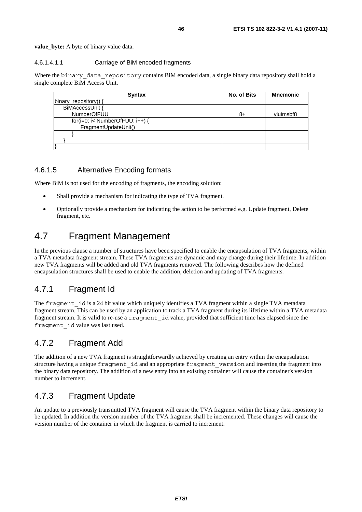### 4.6.1.4.1.1 Carriage of BiM encoded fragments

Where the binary data repository contains BiM encoded data, a single binary data repository shall hold a single complete BiM Access Unit.

| <b>Syntax</b>                   | No. of Bits | <b>Mnemonic</b> |
|---------------------------------|-------------|-----------------|
| binary_repository() {           |             |                 |
| BiMAccessUnit {                 |             |                 |
| <b>NumberOfFUU</b>              | 8+          | vluimsbf8       |
| for(i=0; i< NumberOfFUU; i++) { |             |                 |
| FragmentUpdateUnit()            |             |                 |
|                                 |             |                 |
|                                 |             |                 |
|                                 |             |                 |

### 4.6.1.5 Alternative Encoding formats

Where BiM is not used for the encoding of fragments, the encoding solution:

- Shall provide a mechanism for indicating the type of TVA fragment.
- Optionally provide a mechanism for indicating the action to be performed e.g. Update fragment, Delete fragment, etc.

## 4.7 Fragment Management

In the previous clause a number of structures have been specified to enable the encapsulation of TVA fragments, within a TVA metadata fragment stream. These TVA fragments are dynamic and may change during their lifetime. In addition new TVA fragments will be added and old TVA fragments removed. The following describes how the defined encapsulation structures shall be used to enable the addition, deletion and updating of TVA fragments.

## 4.7.1 Fragment Id

The fragment id is a 24 bit value which uniquely identifies a TVA fragment within a single TVA metadata fragment stream. This can be used by an application to track a TVA fragment during its lifetime within a TVA metadata fragment stream. It is valid to re-use a fragment\_id value, provided that sufficient time has elapsed since the fragment\_id value was last used.

## 4.7.2 Fragment Add

The addition of a new TVA fragment is straightforwardly achieved by creating an entry within the encapsulation structure having a unique fragment id and an appropriate fragment version and inserting the fragment into the binary data repository. The addition of a new entry into an existing container will cause the container's version number to increment.

## 4.7.3 Fragment Update

An update to a previously transmitted TVA fragment will cause the TVA fragment within the binary data repository to be updated. In addition the version number of the TVA fragment shall be incremented. These changes will cause the version number of the container in which the fragment is carried to increment.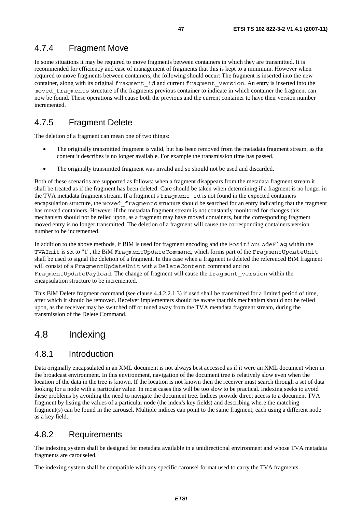## 4.7.4 Fragment Move

In some situations it may be required to move fragments between containers in which they are transmitted. It is recommended for efficiency and ease of management of fragments that this is kept to a minimum. However when required to move fragments between containers, the following should occur: The fragment is inserted into the new container, along with its original fragment\_id and current fragment\_version. An entry is inserted into the moved\_fragments structure of the fragments previous container to indicate in which container the fragment can now be found. These operations will cause both the previous and the current container to have their version number incremented.

## 4.7.5 Fragment Delete

The deletion of a fragment can mean one of two things:

- The originally transmitted fragment is valid, but has been removed from the metadata fragment stream, as the content it describes is no longer available. For example the transmission time has passed.
- The originally transmitted fragment was invalid and so should not be used and discarded.

Both of these scenarios are supported as follows: when a fragment disappears from the metadata fragment stream it shall be treated as if the fragment has been deleted. Care should be taken when determining if a fragment is no longer in the TVA metadata fragment stream. If a fragment's fragment\_id is not found in the expected containers encapsulation structure, the moved\_fragments structure should be searched for an entry indicating that the fragment has moved containers. However if the metadata fragment stream is not constantly monitored for changes this mechanism should not be relied upon, as a fragment may have moved containers, but the corresponding fragment moved entry is no longer transmitted. The deletion of a fragment will cause the corresponding containers version number to be incremented.

In addition to the above methods, if BiM is used for fragment encoding and the PositionCodeFlag within the TVAInit is set to "1", the BiM FragmentUpdateCommand, which forms part of the FragmentUpdateUnit shall be used to signal the deletion of a fragment. In this case when a fragment is deleted the referenced BiM fragment will consist of a FragmentUpdateUnit with a DeleteContent command and no FragmentUpdatePayload. The change of fragment will cause the fragment\_version within the encapsulation structure to be incremented.

This BiM Delete fragment command (see clause 4.4.2.2.1.3) if used shall be transmitted for a limited period of time, after which it should be removed. Receiver implementers should be aware that this mechanism should not be relied upon, as the receiver may be switched off or tuned away from the TVA metadata fragment stream, during the transmission of the Delete Command.

## 4.8 Indexing

## 4.8.1 Introduction

Data originally encapsulated in an XML document is not always best accessed as if it were an XML document when in the broadcast environment. In this environment, navigation of the document tree is relatively slow even when the location of the data in the tree is known. If the location is not known then the receiver must search through a set of data looking for a node with a particular value. In most cases this will be too slow to be practical. Indexing seeks to avoid these problems by avoiding the need to navigate the document tree. Indices provide direct access to a document TVA fragment by listing the values of a particular node (the index's key fields) and describing where the matching fragment(s) can be found in the carousel. Multiple indices can point to the same fragment, each using a different node as a key field.

## 4.8.2 Requirements

The indexing system shall be designed for metadata available in a unidirectional environment and whose TVA metadata fragments are carouseled.

The indexing system shall be compatible with any specific carousel format used to carry the TVA fragments.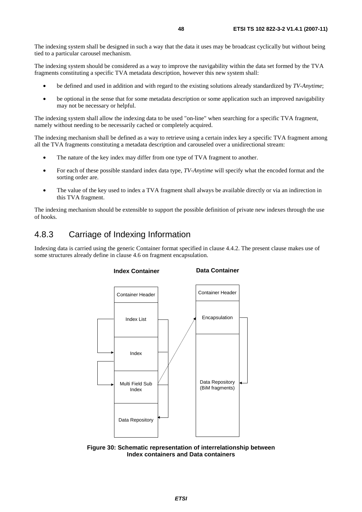The indexing system shall be designed in such a way that the data it uses may be broadcast cyclically but without being tied to a particular carousel mechanism.

The indexing system should be considered as a way to improve the navigability within the data set formed by the TVA fragments constituting a specific TVA metadata description, however this new system shall:

- be defined and used in addition and with regard to the existing solutions already standardized by *TV-Anytime*;
- be optional in the sense that for some metadata description or some application such an improved navigability may not be necessary or helpful.

The indexing system shall allow the indexing data to be used "on-line" when searching for a specific TVA fragment, namely without needing to be necessarily cached or completely acquired.

The indexing mechanism shall be defined as a way to retrieve using a certain index key a specific TVA fragment among all the TVA fragments constituting a metadata description and carouseled over a unidirectional stream:

- The nature of the key index may differ from one type of TVA fragment to another.
- For each of these possible standard index data type, *TV-Anytime* will specify what the encoded format and the sorting order are.
- The value of the key used to index a TVA fragment shall always be available directly or via an indirection in this TVA fragment.

The indexing mechanism should be extensible to support the possible definition of private new indexes through the use of hooks.

## 4.8.3 Carriage of Indexing Information

Indexing data is carried using the generic Container format specified in clause 4.4.2. The present clause makes use of some structures already define in clause 4.6 on fragment encapsulation.





**Figure 30: Schematic representation of interrelationship between Index containers and Data containers**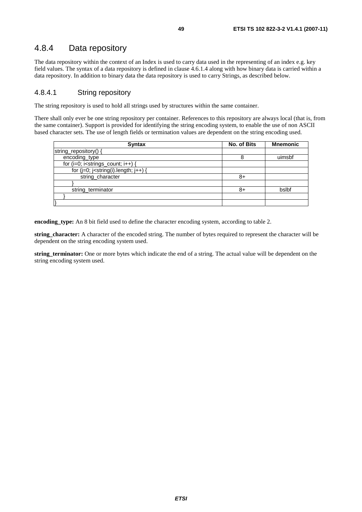## 4.8.4 Data repository

The data repository within the context of an Index is used to carry data used in the representing of an index e.g. key field values. The syntax of a data repository is defined in clause 4.6.1.4 along with how binary data is carried within a data repository. In addition to binary data the data repository is used to carry Strings, as described below.

### 4.8.4.1 String repository

The string repository is used to hold all strings used by structures within the same container.

There shall only ever be one string repository per container. References to this repository are always local (that is, from the same container). Support is provided for identifying the string encoding system, to enable the use of non ASCII based character sets. The use of length fields or termination values are dependent on the string encoding used.

| <b>Syntax</b>                                  | No. of Bits | <b>Mnemonic</b> |
|------------------------------------------------|-------------|-----------------|
| string_repository() {                          |             |                 |
| encoding_type                                  | 8           | uimsbf          |
| for $(i=0; i<$ strings_count; $i++$ ) {        |             |                 |
| for $(j=0; j<$ string $(i)$ .length; $j++$ ) { |             |                 |
| string_character                               | 8+          |                 |
|                                                |             |                 |
| string_terminator                              | 8+          | bslbf           |
|                                                |             |                 |
|                                                |             |                 |

**encoding\_type:** An 8 bit field used to define the character encoding system, according to table 2.

**string\_character:** A character of the encoded string. The number of bytes required to represent the character will be dependent on the string encoding system used.

**string\_terminator:** One or more bytes which indicate the end of a string. The actual value will be dependent on the string encoding system used.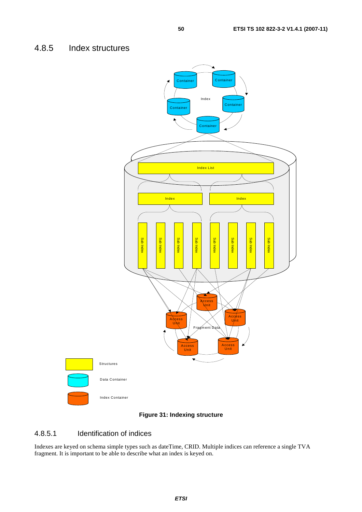

### **Figure 31: Indexing structure**

## 4.8.5.1 Identification of indices

Indexes are keyed on schema simple types such as dateTime, CRID. Multiple indices can reference a single TVA fragment. It is important to be able to describe what an index is keyed on.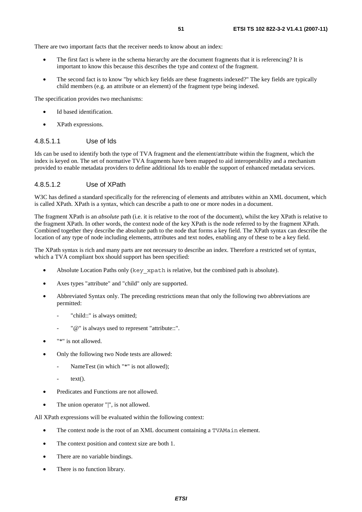There are two important facts that the receiver needs to know about an index:

- The first fact is where in the schema hierarchy are the document fragments that it is referencing? It is important to know this because this describes the type and context of the fragment.
- The second fact is to know "by which key fields are these fragments indexed?" The key fields are typically child members (e.g. an attribute or an element) of the fragment type being indexed.

The specification provides two mechanisms:

- Id based identification
- XPath expressions.

### 4.8.5.1.1 Use of Ids

Ids can be used to identify both the type of TVA fragment and the element/attribute within the fragment, which the index is keyed on. The set of normative TVA fragments have been mapped to aid interoperability and a mechanism provided to enable metadata providers to define additional Ids to enable the support of enhanced metadata services.

### 4.8.5.1.2 Use of XPath

W3C has defined a standard specifically for the referencing of elements and attributes within an XML document, which is called XPath. XPath is a syntax, which can describe a path to one or more nodes in a document.

The fragment XPath is an *absolute* path (i.e. it is relative to the root of the document), whilst the key XPath is relative to the fragment XPath. In other words, the context node of the key XPath is the node referred to by the fragment XPath. Combined together they describe the absolute path to the node that forms a key field. The XPath syntax can describe the location of any type of node including elements, attributes and text nodes, enabling any of these to be a key field.

The XPath syntax is rich and many parts are not necessary to describe an index. Therefore a restricted set of syntax, which a TVA compliant box should support has been specified:

- Absolute Location Paths only (key xpath is relative, but the combined path is absolute).
- Axes types "attribute" and "child" only are supported.
- Abbreviated Syntax only. The preceding restrictions mean that only the following two abbreviations are permitted:
	- "child::" is always omitted;
	- "@" is always used to represent "attribute::".
- "\*" is not allowed.
- Only the following two Node tests are allowed:
	- NameTest (in which "\*" is not allowed);
	- $text()$ .
- Predicates and Functions are not allowed.
- The union operator "|", is not allowed.

All XPath expressions will be evaluated within the following context:

- The context node is the root of an XML document containing a TVAMain element.
- The context position and context size are both 1.
- There are no variable bindings.
- There is no function library.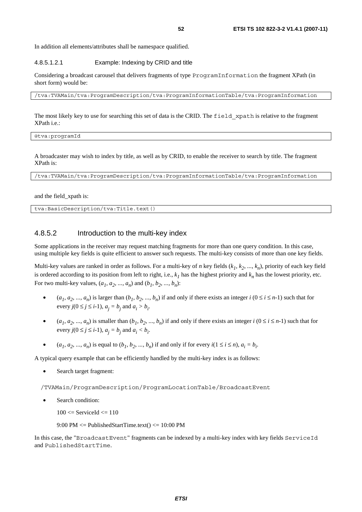### 4.8.5.1.2.1 Example: Indexing by CRID and title

Considering a broadcast carousel that delivers fragments of type ProgramInformation the fragment XPath (in short form) would be:

/tva:TVAMain/tva:ProgramDescription/tva:ProgramInformationTable/tva:ProgramInformation

The most likely key to use for searching this set of data is the CRID. The field xpath is relative to the fragment XPath i.e.:

@tva:programId

A broadcaster may wish to index by title, as well as by CRID, to enable the receiver to search by title. The fragment XPath is:

/tva:TVAMain/tva:ProgramDescription/tva:ProgramInformationTable/tva:ProgramInformation

and the field\_xpath is:

tva:BasicDescription/tva:Title.text()

### 4.8.5.2 Introduction to the multi-key index

Some applications in the receiver may request matching fragments for more than one query condition. In this case, using multiple key fields is quite efficient to answer such requests. The multi-key consists of more than one key fields.

Multi-key values are ranked in order as follows. For a multi-key of *n* key fields  $(k_1, k_2, ..., k_n)$ , priority of each key field is ordered according to its position from left to right, i.e.,  $k_l$  has the highest priority and  $k_n$  has the lowest priority, etc. For two multi-key values,  $(a_1, a_2, ..., a_n)$  and  $(b_1, b_2, ..., b_n)$ :

- $(a_1, a_2, ..., a_n)$  is larger than  $(b_1, b_2, ..., b_n)$  if and only if there exists an integer  $i$   $(0 \le i \le n-1)$  such that for every  $j(0 \le j \le i-1)$ ,  $a_j = b_j$  and  $a_i > b_i$ .
- $(a_1, a_2, ..., a_n)$  is smaller than  $(b_1, b_2, ..., b_n)$  if and only if there exists an integer  $i$   $(0 \le i \le n-1)$  such that for every  $j(0 \le j \le i-1)$ ,  $a_j = b_j$  and  $a_i < b_i$ .
- $(a_1, a_2, ..., a_n)$  is equal to  $(b_1, b_2, ..., b_n)$  if and only if for every  $i(1 \le i \le n)$ ,  $a_i = b_i$ .

A typical query example that can be efficiently handled by the multi-key index is as follows:

Search target fragment:

/TVAMain/ProgramDescription/ProgramLocationTable/BroadcastEvent

• Search condition:

 $100 \leq$  ServiceId  $\leq$  110

 $9:00 \text{ PM} \leq \text{PublishedStartTime.text}() \leq 10:00 \text{ PM}$ 

In this case, the "BroadcastEvent" fragments can be indexed by a multi-key index with key fields ServiceId and PublishedStartTime.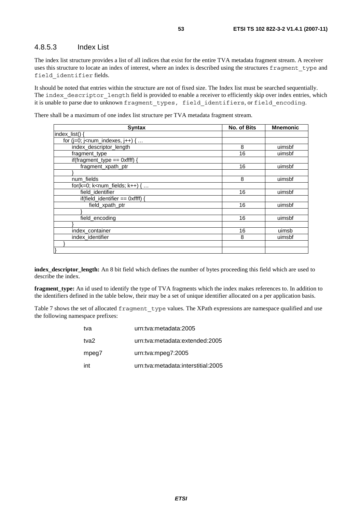### 4.8.5.3 Index List

The index list structure provides a list of all indices that exist for the entire TVA metadata fragment stream. A receiver uses this structure to locate an index of interest, where an index is described using the structures fragment type and field\_identifier fields.

It should be noted that entries within the structure are not of fixed size. The Index list must be searched sequentially. The index descriptor length field is provided to enable a receiver to efficiently skip over index entries, which it is unable to parse due to unknown fragment\_types, field\_identifiers, or field\_encoding.

There shall be a maximum of one index list structure per TVA metadata fragment stream.

| <b>Syntax</b>                                                   | No. of Bits | <b>Mnemonic</b> |
|-----------------------------------------------------------------|-------------|-----------------|
| $ index_list() $                                                |             |                 |
| for ( $j=0$ ; $j$ <num_indexes, <math="">j++) { </num_indexes,> |             |                 |
| index_descriptor_length                                         | 8           | uimsbf          |
| fragment_type                                                   | 16          | uimsbf          |
| if(fragment_type == $0$ xffff) {                                |             |                 |
| fragment_xpath_ptr                                              | 16          | uimsbf          |
|                                                                 |             |                 |
| num fields                                                      | 8           | uimsbf          |
| for( $k=0$ ; $k<$ num_fields; $k++$ ) {                         |             |                 |
| field identifier                                                | 16          | uimsbf          |
| if(field_identifier == $0$ xffff)                               |             |                 |
| field xpath ptr                                                 | 16          | uimsbf          |
|                                                                 |             |                 |
| field_encoding                                                  | 16          | uimsbf          |
|                                                                 |             |                 |
| index container                                                 | 16          | uimsb           |
| index_identifier                                                | 8           | uimsbf          |
|                                                                 |             |                 |
|                                                                 |             |                 |

**index\_descriptor\_length:** An 8 bit field which defines the number of bytes proceeding this field which are used to describe the index.

**fragment\_type:** An id used to identify the type of TVA fragments which the index makes references to. In addition to the identifiers defined in the table below, their may be a set of unique identifier allocated on a per application basis.

Table 7 shows the set of allocated fragment\_type values. The XPath expressions are namespace qualified and use the following namespace prefixes:

| tva   | urn:tva:metadata:2005              |
|-------|------------------------------------|
| tva2  | urn:tva:metadata:extended:2005     |
| mpeg7 | urn:tva:mpeg7:2005                 |
| int   | urn:tva:metadata:interstitial:2005 |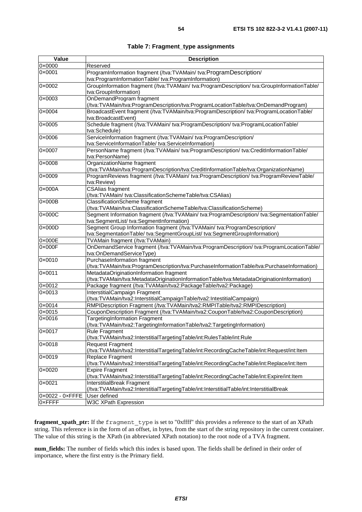| Table 7: Fragment_type assignments |  |
|------------------------------------|--|
|------------------------------------|--|

| Value           | <b>Description</b>                                                                                                        |
|-----------------|---------------------------------------------------------------------------------------------------------------------------|
| 0×0000          | Reserved                                                                                                                  |
| 0×0001          | ProgramInformation fragment (/tva:TVAMain/ tva:ProgramDescription/<br>tva:ProgramInformationTable/tva:ProgramInformation) |
| 0×0002          | GroupInformation fragment (/tva:TVAMain/ tva:ProgramDescription/ tva:GroupInformationTable/                               |
|                 | tva:GroupInformation)                                                                                                     |
| 0×0003          | OnDemandProgram fragment<br>(/tva:TVAMain/tva:ProgramDescription/tva:ProgramLocationTable/tva:OnDemandProgram)            |
| 0×0004          | BroadcastEvent fragment (/tva:TVAMain/tva:ProgramDescription/ tva:ProgramLocationTable/                                   |
|                 | tva:BroadcastEvent)                                                                                                       |
| 0×0005          | Schedule fragment (/tva:TVAMain/ tva:ProgramDescription/ tva:ProgramLocationTable/<br>tva:Schedule)                       |
| 0×0006          | ServiceInformation fragment (/tva:TVAMain/ tva:ProgramDescription/<br>tva:ServiceInformationTable/tva:ServiceInformation) |
| 0×0007          | PersonName fragment (/tva:TVAMain/ tva:ProgramDescription/ tva:CreditInformationTable/<br>tva:PersonName)                 |
| 0×0008          | OrganizationName fragment                                                                                                 |
|                 | (/tva:TVAMain/tva:ProgramDescription/tva:CreditInformationTable/tva:OrganizationName)                                     |
| 0×0009          | ProgramReviews fragment (/tva:TVAMain/ tva:ProgramDescription/ tva:ProgramReviewTable/<br>tva:Review)                     |
| 0×000A          | <b>CSAlias fragment</b>                                                                                                   |
|                 | (/tva:TVAMain/ tva:ClassificationSchemeTable/tva:CSAlias)                                                                 |
| 0×000B          | <b>ClassificationScheme fragment</b>                                                                                      |
|                 | (/tva:TVAMain/tva:ClassificationSchemeTable/tva:ClassificationScheme)                                                     |
| 0×000C          | Segment Information fragment (/tva:TVAMain/ tva:ProgramDescription/ tva:SegmentationTable/                                |
|                 | tva:SegmentList/ tva:SegmentInformation)                                                                                  |
| 0×000D          | Segment Group Information fragment (/tva:TVAMain/ tva:ProgramDescription/                                                 |
|                 | tva:SegmentationTable/ tva:SegmentGroupList/ tva:SegmentGroupInformation)                                                 |
| 0×000E          | TVAMain fragment (/tva:TVAMain)                                                                                           |
| 0×000F          | OnDemandService fragment (/tva:TVAMain/tva:ProgramDescription/ tva:ProgramLocationTable/<br>tva:OnDemandServiceType)      |
| 0×0010          | PurchaseInformation fragment                                                                                              |
|                 | (/tva:TVAMain/tva:ProgramDescription/tva:PurchaseInformationTable/tva:PurchaseInformation)                                |
| 0×0011          | MetadataOriginationInformation fragment                                                                                   |
|                 | (/tva:TVAMain/tva:MetadataOriginationInformationTable/tva:MetadataOriginationInformation)                                 |
| 0×0012          | Package fragment (/tva:TVAMain/tva2:PackageTable/tva2:Package)                                                            |
| 0×0013          | InterstitialCampaign Fragment                                                                                             |
|                 | (/tva:TVAMain/tva2:InterstitialCampaignTable/tva2:IntestitialCampaign)                                                    |
| 0×0014          | RMPIDescription Fragment (/tva:TVAMain/tva2:RMPITable/tva2:RMPIDescription)                                               |
| 0×0015          | CouponDescription Fragment (/tva:TVAMain/tva2:CouponTable/tva2:CouponDescription)                                         |
| 0×0016          | <b>TargetingInformation Fragment</b>                                                                                      |
|                 | (/tva:TVAMain/tva2:TargetingInformationTable/tva2:TargetingInformation)                                                   |
| 0×0017          | <b>Rule Fragment</b>                                                                                                      |
|                 | (/tva:TVAMain/tva2:InterstitialTargetingTable/int:RulesTable/int:Rule                                                     |
| 0×0018          | <b>Request Fragment</b>                                                                                                   |
|                 | //tva:TVAMain/tva2:InterstitialTargetingTable/int:RecordingCacheTable/int:Request/int:Item                                |
| 0×0019          | Replace Fragment                                                                                                          |
|                 | (/tva:TVAMain/tva2:InterstitialTargetingTable/int:RecordingCacheTable/int:Replace/int:Item                                |
| 0×0020          | <b>Expire Fragment</b>                                                                                                    |
|                 | (/tva:TVAMain/tva2:InterstitialTargetingTable/int:RecordingCacheTable/int:Expire/int:Item                                 |
| 0×0021          | InterstitialBreak Fragment                                                                                                |
|                 | (/tva:TVAMain/tva2:InterstitialTargetingTable/int:InterstitialTable/int:InterstitialBreak                                 |
| 0×0022 - 0×FFFE | User defined                                                                                                              |
| 0xFFFF          | W3C XPath Expression                                                                                                      |

fragment\_xpath\_ptr: If the fragment type is set to "0xffff" this provides a reference to the start of an XPath string. This reference is in the form of an offset, in bytes, from the start of the string repository in the current container. The value of this string is the XPath (in abbreviated XPath notation) to the root node of a TVA fragment.

**num\_fields:** The number of fields which this index is based upon. The fields shall be defined in their order of importance, where the first entry is the Primary field.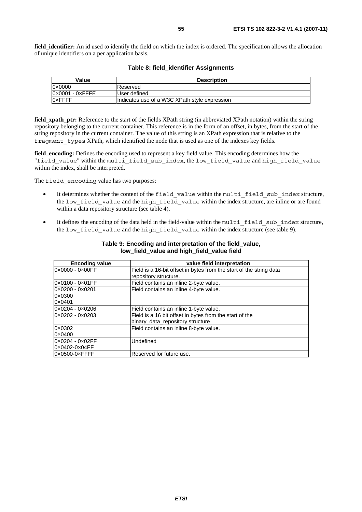**field identifier:** An id used to identify the field on which the index is ordered. The specification allows the allocation of unique identifiers on a per application basis.

| Value                           | <b>Description</b>                            |
|---------------------------------|-----------------------------------------------|
| $0 \times 0000$                 | Reserved                                      |
| $0 \times 0001 - 0 \times$ FFFE | User defined                                  |
| <b>OxFFFF</b>                   | Indicates use of a W3C XPath style expression |

### **Table 8: field\_identifier Assignments**

**field xpath ptr:** Reference to the start of the fields XPath string (in abbreviated XPath notation) within the string repository belonging to the current container. This reference is in the form of an offset, in bytes, from the start of the string repository in the current container. The value of this string is an XPath expression that is relative to the fragment types XPath, which identified the node that is used as one of the indexes key fields.

**field\_encoding:** Defines the encoding used to represent a key field value. This encoding determines how the "field value" within the multi field sub index, the low field value and high field value within the index, shall be interpreted.

The field encoding value has two purposes:

- It determines whether the content of the field value within the multi field sub index structure, the low field value and the high field value within the index structure, are inline or are found within a data repository structure (see table 4).
- It defines the encoding of the data held in the field-value within the multi field sub index structure, the low field value and the high field value within the index structure (see table 9).

| <b>Encoding value</b>           | value field interpretation                                          |
|---------------------------------|---------------------------------------------------------------------|
| 0×0000 - 0×00FF                 | Field is a 16-bit offset in bytes from the start of the string data |
|                                 | repository structure.                                               |
| $0 \times 0100 - 0 \times 01FF$ | Field contains an inline 2-byte value.                              |
| $0 \times 0200 - 0 \times 0201$ | Field contains an inline 4-byte value.                              |
| $0 \times 0300$                 |                                                                     |
| 0×0401                          |                                                                     |
| 0×0204 - 0×0206                 | Field contains an inline 1-byte value.                              |
| 0×0202 - 0×0203                 | Field is a 16 bit offset in bytes from the start of the             |
|                                 | binary_data_repository structure                                    |
| $0 \times 0302$                 | Field contains an inline 8-byte value.                              |
| $0 \times 0400$                 |                                                                     |
| 0x0204 - 0x02FF                 | Undefined                                                           |
| 0x0402-0x04FF                   |                                                                     |
| 0x0500-0xFFFF                   | Reserved for future use.                                            |

### **Table 9: Encoding and interpretation of the field\_value, low\_field\_value and high\_field\_value field**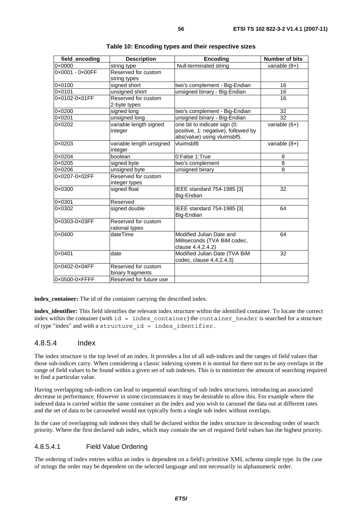| field_encoding  | <b>Description</b>       | <b>Encoding</b>                     | <b>Number of bits</b>             |
|-----------------|--------------------------|-------------------------------------|-----------------------------------|
| 0×0000          | string type              | Null-terminated string              | variable $(8+)$                   |
| 0×0001 - 0×00FF | Reserved for custom      |                                     |                                   |
|                 | string types             |                                     |                                   |
| 0×0100          | signed short             | two's complement - Big-Endian       | 16                                |
| 0×0101          | unsigned short           | unsigned binary - Big-Endian        | 16                                |
| 0×0102-0×01FF   | Reserved for custom      |                                     | 16                                |
|                 | 2-byte types             |                                     |                                   |
| 0×0200          | signed long              | two's complement - Big-Endian       | 32                                |
| 0×0201          | unsigned long            | unsigned binary - Big-Endian        | 32                                |
| 0×0202          | variable length signed   | one bit to indicate sign (0:        | $\overline{\text{variable}}$ (6+) |
|                 | integer                  | positive, 1: negative), followed by |                                   |
|                 |                          | abs(value) using vluimsbf5.         |                                   |
| 0×0203          | variable length unsigned | vluimsbf8                           | variable (8+)                     |
|                 | integer                  |                                     |                                   |
| 0×0204          | boolean                  | 0:False 1:True                      | 8                                 |
| 0×0205          | signed byte              | two's complement                    | $\overline{8}$                    |
| 0×0206          | unsigned byte            | unsigned binary                     | 8                                 |
| 0×0207-0×02FF   | Reserved for custom      |                                     |                                   |
|                 | integer types            |                                     |                                   |
| 0×0300          | signed float             | IEEE standard 754-1985 [3]          | 32                                |
|                 |                          | Big-Endian                          |                                   |
| 0×0301          | Reserved                 |                                     |                                   |
| $0 \times 0302$ | signed double            | IEEE standard 754-1985 [3]          | 64                                |
|                 |                          | Big-Endian                          |                                   |
| 0×0303-0×03FF   | Reserved for custom      |                                     |                                   |
|                 | rational types           |                                     |                                   |
| 0×0400          | dateTime                 | Modified Julian Date and            | 64                                |
|                 |                          | Milliseconds (TVA BiM codec,        |                                   |
| 0×0401          | date                     | clause 4.4.2.4.2)                   | 32                                |
|                 |                          | Modified Julian Date (TVA BiM       |                                   |
| 0×0402-0×04FF   | Reserved for custom      | codec, clause 4.4.2.4.3)            |                                   |
|                 |                          |                                     |                                   |
|                 | binary fragments         |                                     |                                   |
| 0×0500-0×FFFF   | Reserved for future use  |                                     |                                   |

**index\_container:** The id of the container carrying the described index.

**index\_identifier:** This field identifies the relevant index structure within the identified container. To locate the correct index within the container (with  $id = index content$  container) the container header is searched for a structure of type "index" and with a structure\_id = index\_identifier.

### 4.8.5.4 Index

The index structure is the top level of an index. It provides a list of all sub-indices and the ranges of field values that those sub-indices carry. When considering a classic indexing system it is normal for there not to be any overlaps in the range of field values to be found within a given set of sub indexes. This is to minimize the amount of searching required to find a particular value.

Having overlapping sub-indices can lead to sequential searching of sub index structures, introducing an associated decrease in performance. However in some circumstances it may be desirable to allow this. For example where the indexed data is carried within the same container as the index and you wish to carousel the data out at different rates and the set of data to be carouseled would not typically form a single sub index without overlaps.

In the case of overlapping sub indexes they shall be declared within the index structure in descending order of search priority. Where the first declared sub index, which may contain the set of required field values has the highest priority.

### 4.8.5.4.1 Field Value Ordering

The ordering of index entries within an index is dependent on a field's primitive XML schema simple type. In the case of strings the order may be dependent on the selected language and not necessarily in alphanumeric order.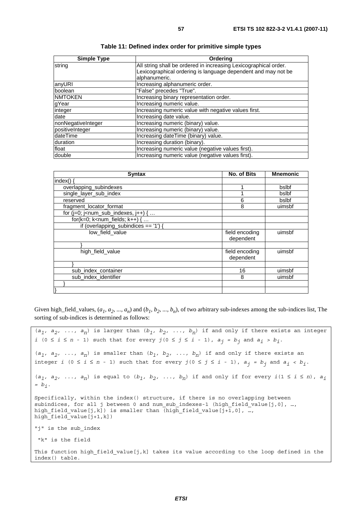| <b>Simple Type</b> | Ordering                                                         |
|--------------------|------------------------------------------------------------------|
| string             | All string shall be ordered in increasing Lexicographical order. |
|                    | Lexicographical ordering is language dependent and may not be    |
|                    | alphanumeric.                                                    |
| anyURI             | Increasing alphanumeric order.                                   |
| boolean            | "False" precedes "True".                                         |
| <b>NMTOKEN</b>     | Increasing binary representation order.                          |
| gYear              | Increasing numeric value.                                        |
| integer            | Increasing numeric value with negative values first.             |
| date               | Increasing date value.                                           |
| nonNegativeInteger | Increasing numeric (binary) value.                               |
| positiveInteger    | Increasing numeric (binary) value.                               |
| dateTime           | Increasing dateTime (binary) value.                              |
| duration           | Increasing duration (binary).                                    |
| float              | Increasing numeric value (negative values first).                |
| double             | Increasing numeric value (negative values first).                |

| Table 11: Defined index order for primitive simple types |  |
|----------------------------------------------------------|--|
|----------------------------------------------------------|--|

| <b>Syntax</b>                            | <b>No. of Bits</b>          | <b>Mnemonic</b> |
|------------------------------------------|-----------------------------|-----------------|
| index()                                  |                             |                 |
| overlapping_subindexes                   |                             | bslbf           |
| single_layer_sub_index                   |                             | bslbf           |
| reserved                                 | 6                           | bslbf           |
| fragment_locator_format                  | 8                           | uimsbf          |
| for $(i=0; j1 - num_sub_indexes, i++)$ { |                             |                 |
| for( $k=0$ ; $k<$ num_fields; $k++$ ) {  |                             |                 |
| if (overlapping_subindices == '1') {     |                             |                 |
| low_field_value                          | field encoding              | uimsbf          |
|                                          | dependent                   |                 |
|                                          |                             |                 |
| high_field_value                         | field encoding<br>dependent | uimsbf          |
|                                          |                             |                 |
| sub index container                      | 16                          | uimsbf          |
| sub_index_identifier                     | 8                           | uimsbf          |
|                                          |                             |                 |
|                                          |                             |                 |
|                                          |                             |                 |

Given high\_field\_values,  $(a_1, a_2, ..., a_n)$  and  $(b_1, b_2, ..., b_n)$ , of two arbitrary sub-indexes among the sub-indices list, The sorting of sub-indices is determined as follows:

```
(a_1, a_2, \ldots, a_n) is larger than (b_1, b_2, \ldots, b_n) if and only if there exists an integer
i (0 ≤ i ≤ n - 1) such that for every j (0 ≤ j ≤ i - 1), a_j = b_j and a_i > b_j.
(a_1, a_2, \ldots, a_n) is smaller than (b_1, b_2, \ldots, b_n) if and only if there exists an
integer i (0 ≤ i ≤ n - 1) such that for every j(0 ≤ j ≤ i - 1), aj = bj and ai < bi. 
(a_1, a_2, \ldots, a_n) is equal to (b_1, b_2, \ldots, b_n) if and only if for every i(1 \leq i \leq n), a_i= bi. 
Specifically, within the index() structure, if there is no overlapping between 
subindices, for all j between 0 and num sub indexes-1 (high field value[j,0], …,
high_field_value[j,k]) is smaller than (high_field_value[j+1,0], …,
high\overline{field}value[j+1,k])"j" is the sub_index 
 "k" is the field
This function high field value[j,k] takes its value according to the loop defined in the
index() table.
```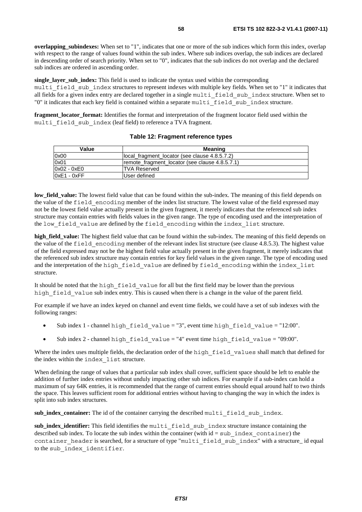**overlapping\_subindexes:** When set to "1", indicates that one or more of the sub indices which form this index, overlap with respect to the range of values found within the sub index. Where sub indices overlap, the sub indices are declared in descending order of search priority. When set to "0", indicates that the sub indices do not overlap and the declared sub indices are ordered in ascending order.

**single layer sub index:** This field is used to indicate the syntax used within the corresponding multi field sub index structures to represent indexes with multiple key fields. When set to "1" it indicates that all fields for a given index entry are declared together in a single multi field sub index structure. When set to "0" it indicates that each key field is contained within a separate multi\_field\_sub\_index structure.

**fragment\_locator\_format:** Identifies the format and interpretation of the fragment locator field used within the multi field sub index (leaf field) to reference a TVA fragment.

| Value         | <b>Meaning</b>                                 |
|---------------|------------------------------------------------|
| 0x00          | llocal fragment locator (see clause 4.8.5.7.2) |
| 0x01          | remote fragment locator (see clause 4.8.5.7.1) |
| $0x02 - 0xE0$ | <b>ITVA Reserved</b>                           |
| $0xE1 - 0xFF$ | User defined                                   |

### **Table 12: Fragment reference types**

**low\_field\_value:** The lowest field value that can be found within the sub-index. The meaning of this field depends on the value of the field\_encoding member of the index list structure. The lowest value of the field expressed may not be the lowest field value actually present in the given fragment, it merely indicates that the referenced sub index structure may contain entries with fields values in the given range. The type of encoding used and the interpretation of the low field value are defined by the field encoding within the index list structure.

**high\_field\_value:** The highest field value that can be found within the sub-index. The meaning of this field depends on the value of the field\_encoding member of the relevant index list structure (see clause 4.8.5.3). The highest value of the field expressed may not be the highest field value actually present in the given fragment, it merely indicates that the referenced sub index structure may contain entries for key field values in the given range. The type of encoding used and the interpretation of the high field value are defined by field encoding within the index list structure.

It should be noted that the high\_field\_value for all but the first field may be lower than the previous high field value sub index entry. This is caused when there is a change in the value of the parent field.

For example if we have an index keyed on channel and event time fields, we could have a set of sub indexes with the following ranges:

- Sub index 1 channel high\_field\_value = "3", event time high field value = "12:00".
- Sub index 2 channel high field value = "4" event time high field value = "09:00".

Where the index uses multiple fields, the declaration order of the high field values shall match that defined for the index within the index\_list structure.

When defining the range of values that a particular sub index shall cover, sufficient space should be left to enable the addition of further index entries without unduly impacting other sub indices. For example if a sub-index can hold a maximum of say 64K entries, it is recommended that the range of current entries should equal around half to two thirds the space. This leaves sufficient room for additional entries without having to changing the way in which the index is split into sub index structures.

sub\_index\_container: The id of the container carrying the described multi field sub index.

sub index identifier: This field identifies the multi field sub index structure instance containing the described sub index. To locate the sub index within the container (with  $id = sub$  index container) the container header is searched, for a structure of type "multi field sub index" with a structure\_ id equal to the sub\_index\_identifier.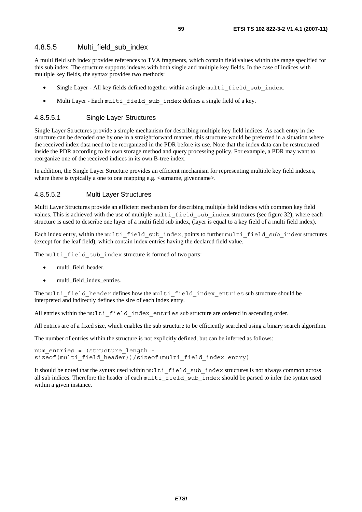### 4.8.5.5 Multi field sub\_index

A multi field sub index provides references to TVA fragments, which contain field values within the range specified for this sub index. The structure supports indexes with both single and multiple key fields. In the case of indices with multiple key fields, the syntax provides two methods:

- Single Layer All key fields defined together within a single multi field sub index.
- Multi Layer Each multi field sub index defines a single field of a key.

### 4.8.5.5.1 Single Layer Structures

Single Layer Structures provide a simple mechanism for describing multiple key field indices. As each entry in the structure can be decoded one by one in a straightforward manner, this structure would be preferred in a situation where the received index data need to be reorganized in the PDR before its use. Note that the index data can be restructured inside the PDR according to its own storage method and query processing policy. For example, a PDR may want to reorganize one of the received indices in its own B-tree index.

In addition, the Single Layer Structure provides an efficient mechanism for representing multiple key field indexes, where there is typically a one to one mapping e.g.  $\leq$ surname, givenname.

### 4.8.5.5.2 Multi Layer Structures

Multi Layer Structures provide an efficient mechanism for describing multiple field indices with common key field values. This is achieved with the use of multiple multilaged sub-index structures (see figure 32), where each structure is used to describe one layer of a multi field sub index, (layer is equal to a key field of a multi field index).

Each index entry, within the multi\_field\_sub\_index, points to further multi\_field\_sub\_index structures (except for the leaf field), which contain index entries having the declared field value.

The multi field sub index structure is formed of two parts:

- multi\_field\_header.
- multi\_field\_index\_entries.

The multi field header defines how the multi field index entries sub structure should be interpreted and indirectly defines the size of each index entry.

All entries within the multi field index entries sub structure are ordered in ascending order.

All entries are of a fixed size, which enables the sub structure to be efficiently searched using a binary search algorithm.

The number of entries within the structure is not explicitly defined, but can be inferred as follows:

```
num entries = (structure length -
sizeof(multi field header))/sizeof(multi field index entry)
```
It should be noted that the syntax used within multi\_field\_sub\_index structures is not always common across all sub indices. Therefore the header of each multi field sub index should be parsed to infer the syntax used within a given instance.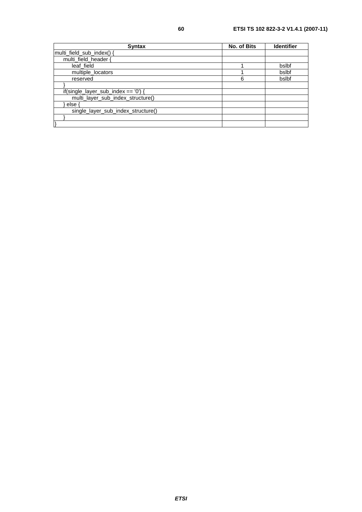| <b>Syntax</b>                                        | No. of Bits | <b>Identifier</b> |
|------------------------------------------------------|-------------|-------------------|
| multi_field_sub_index() {                            |             |                   |
| multi_field_header {                                 |             |                   |
| leaf field                                           |             | bslbf             |
| multiple locators                                    |             | bslbf             |
| reserved                                             | 6           | bslbf             |
|                                                      |             |                   |
| $if(single_layer\_sub_index == '0') \nightharpoonup$ |             |                   |
| multi_layer_sub_index_structure()                    |             |                   |
| else ·                                               |             |                   |
| single_layer_sub_index_structure()                   |             |                   |
|                                                      |             |                   |
|                                                      |             |                   |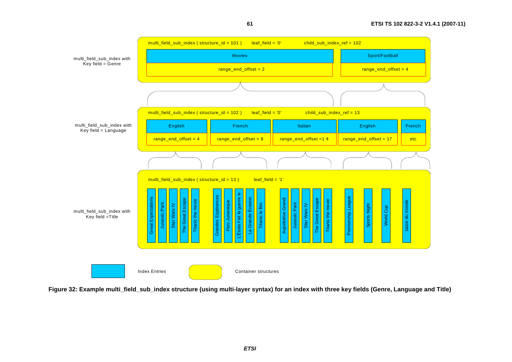

**61**

**Figure 32: Example multi\_field\_sub\_index structure (using multi-layer syntax) for an index with three key fields (Genre, Language and Title)**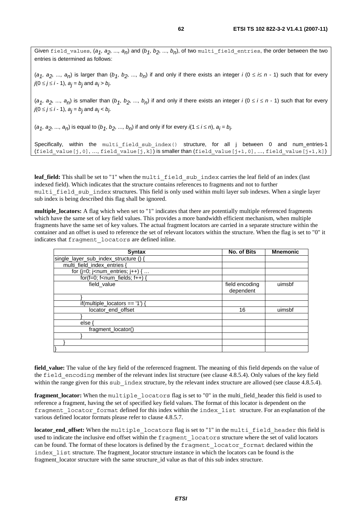Given field\_values,  $(a_1, a_2, ..., a_n)$  and  $(b_1, b_2, ..., b_n)$ , of two multi\_field entries, the order between the two entries is determined as follows:

( $a_1$ ,  $a_2$ , ...,  $a_n$ ) is larger than ( $b_1$ ,  $b_2$ , ...,  $b_n$ ) if and only if there exists an integer *i* ( $0 \le k \le n - 1$ ) such that for every *j*(0 ≤ *j* ≤ *i* − 1), *a<sub>j</sub>* = *b<sub>j</sub>* and *a<sub>j</sub>* > *b<sub>j</sub>.* 

 $(a_1, a_2, ..., a_n)$  is smaller than  $(b_1, b_2, ..., b_n)$  if and only if there exists an integer *i*  $(0 \le i \le n - 1)$  such that for every *j*(0 ≤ *j* ≤ *i* − 1), *a<sub>j</sub>* = *b<sub>j</sub>* and *a<sub>j</sub>* < *b<sub>j</sub>*.

 $(a_1, a_2, ..., a_n)$  is equal to  $(b_1, b_2, ..., b_n)$  if and only if for every *i*(1 ≤ *i* ≤ *n*),  $a_j$  =  $b_j$ .

Specifically, within the multi\_field\_sub\_index() structure, for all j between 0 and num\_entries-1 (field value[j,0], …, field value[j,k]) is smaller than (field value[j+1,0], …, field value[j+1,k])

leaf\_field: This shall be set to "1" when the multi field sub index carries the leaf field of an index (last indexed field). Which indicates that the structure contains references to fragments and not to further multi field sub index structures. This field is only used within multi layer sub indexes. When a single layer sub index is being described this flag shall be ignored.

**multiple** locators: A flag which when set to "1" indicates that there are potentially multiple referenced fragments which have the same set of key field values. This provides a more bandwidth efficient mechanism, when multiple fragments have the same set of key values. The actual fragment locators are carried in a separate structure within the container and an offset is used to reference the set of relevant locators within the structure. When the flag is set to "0" it indicates that fragment\_locators are defined inline.

| <b>Syntax</b>                                                   | No. of Bits                 | <b>Mnemonic</b> |
|-----------------------------------------------------------------|-----------------------------|-----------------|
| single_layer_sub_index_structure () {                           |                             |                 |
| multi_field_index_entries {                                     |                             |                 |
| for ( $j=0$ ; $j$ <num_entries; <math="">j++) { </num_entries;> |                             |                 |
| for(f=0; f <num_fields; <math="">f++) {</num_fields;>           |                             |                 |
| field value                                                     | field encoding<br>dependent | uimsbf          |
|                                                                 |                             |                 |
| if(multiple_locators == '1') {                                  |                             |                 |
| locator end offset                                              | 16                          | uimsbf          |
|                                                                 |                             |                 |
| else                                                            |                             |                 |
| fragment locator()                                              |                             |                 |
|                                                                 |                             |                 |
|                                                                 |                             |                 |
|                                                                 |                             |                 |

**field\_value:** The value of the key field of the referenced fragment. The meaning of this field depends on the value of the field encoding member of the relevant index list structure (see clause 4.8.5.4). Only values of the key field within the range given for this sub index structure, by the relevant index structure are allowed (see clause 4.8.5.4).

**fragment\_locator:** When the multiple\_locators flag is set to "0" in the multi\_field\_header this field is used to reference a fragment, having the set of specified key field values. The format of this locator is dependent on the fragment\_locator\_format defined for this index within the index\_list structure. For an explanation of the various defined locator formats please refer to clause 4.8.5.7.

**locator\_end\_offset:** When the multiple\_locators flag is set to "1" in the multi\_field\_header this field is used to indicate the inclusive end offset within the fragment\_locators structure where the set of valid locators can be found. The format of these locators is defined by the fragment locator format declared within the index\_list structure. The fragment\_locator structure instance in which the locators can be found is the fragment\_locator structure with the same structure\_id value as that of this sub index structure.

*ETSI*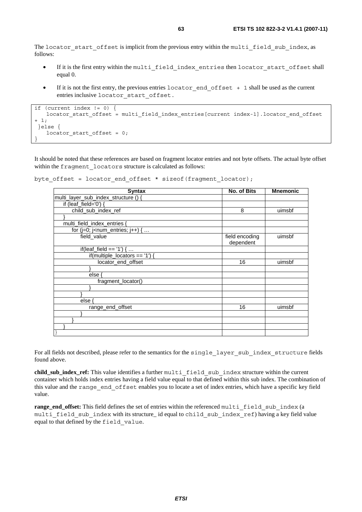The locator start offset is implicit from the previous entry within the multi field sub index, as follows:

- If it is the first entry within the multi\_field\_index\_entries then locator\_start\_offset shall equal 0.
- If it is not the first entry, the previous entries locator end offset + 1 shall be used as the current entries inclusive locator\_start\_offset.

```
if (current index != 0) { 
   locator start offset = multi field index entries[current index-1].locator end offset
+ 1; 
  }else { 
   locator start offset = 0;}
```
It should be noted that these references are based on fragment locator entries and not byte offsets. The actual byte offset within the fragment locators structure is calculated as follows:

```
byte offset = locator end offset * sizeof(fragment locator);
```

| <b>Syntax</b>                         | No. of Bits                 | <b>Mnemonic</b> |
|---------------------------------------|-----------------------------|-----------------|
| multi_layer_sub_index_structure () {  |                             |                 |
| if (leaf_field='0') {                 |                             |                 |
| child_sub_index_ref                   | 8                           | uimsbf          |
|                                       |                             |                 |
| multi_field_index_entries {           |                             |                 |
| for $(j=0; j<$ num_entries; $j++$ ) { |                             |                 |
| field_value                           | field encoding<br>dependent | uimsbf          |
| if(leaf_field == '1') {               |                             |                 |
| if(multiple_locators == '1') {        |                             |                 |
| locator_end_offset                    | 16                          | uimsbf          |
|                                       |                             |                 |
| else (                                |                             |                 |
| fragment_locator()                    |                             |                 |
|                                       |                             |                 |
|                                       |                             |                 |
| else ·                                |                             |                 |
| range end offset                      | 16                          | uimsbf          |
|                                       |                             |                 |
|                                       |                             |                 |
|                                       |                             |                 |
|                                       |                             |                 |

For all fields not described, please refer to the semantics for the single\_layer\_sub\_index\_structure fields found above.

**child\_sub\_index\_ref:** This value identifies a further multi\_field\_sub\_index structure within the current container which holds index entries having a field value equal to that defined within this sub index. The combination of this value and the range\_end\_offset enables you to locate a set of index entries, which have a specific key field value.

**range\_end\_offset:** This field defines the set of entries within the referenced multi\_field\_sub\_index (a multi field sub index with its structure\_ id equal to child sub index ref) having a key field value equal to that defined by the field\_value.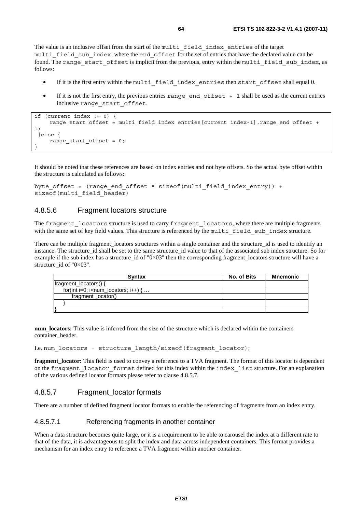The value is an inclusive offset from the start of the multi\_field\_index\_entries of the target multi field sub index, where the end offset for the set of entries that have the declared value can be found. The range start offset is implicit from the previous, entry within the multi field sub index, as follows:

- If it is the first entry within the multi field index entries then start offset shall equal 0.
- If it is not the first entry, the previous entries range end  $offset + 1$  shall be used as the current entries inclusive range\_start\_offset.

```
if (current index != 0) { 
    range start offset = multi field index entries[current index-1].range end offset +
1; 
  }else { 
     range_start_offset = 0; 
}
```
It should be noted that these references are based on index entries and not byte offsets. So the actual byte offset within the structure is calculated as follows:

```
byte_offset = (range_end_offset * sizeof(multi_field_index_entry)) + 
sizeof(multi field header)
```
### 4.8.5.6 Fragment locators structure

The fragment locators structure is used to carry fragment locators, where there are multiple fragments with the same set of key field values. This structure is referenced by the multi\_field\_sub\_index structure.

There can be multiple fragment locators structures within a single container and the structure id is used to identify an instance. The structure id shall be set to the same structure id value to that of the associated sub index structure. So for example if the sub index has a structure id of "0 $\times$ 03" then the corresponding fragment locators structure will have a structure id of " $0\times03$ ".

| <b>Syntax</b>                                                           | No. of Bits | Mnemonic |
|-------------------------------------------------------------------------|-------------|----------|
| fragment_locators() {                                                   |             |          |
| for(int i=0; i <num_locators; <math="" i++)="">\{ \dots</num_locators;> |             |          |
| fragment_locator()                                                      |             |          |
|                                                                         |             |          |
|                                                                         |             |          |

**num\_locators:** This value is inferred from the size of the structure which is declared within the containers container\_header.

I.e. num\_locators = structure\_length/sizeof(fragment\_locator);

**fragment\_locator:** This field is used to convey a reference to a TVA fragment. The format of this locator is dependent on the fragment locator format defined for this index within the index list structure. For an explanation of the various defined locator formats please refer to clause 4.8.5.7.

### 4.8.5.7 Fragment locator formats

There are a number of defined fragment locator formats to enable the referencing of fragments from an index entry.

### 4.8.5.7.1 Referencing fragments in another container

When a data structure becomes quite large, or it is a requirement to be able to carousel the index at a different rate to that of the data, it is advantageous to split the index and data across independent containers. This format provides a mechanism for an index entry to reference a TVA fragment within another container.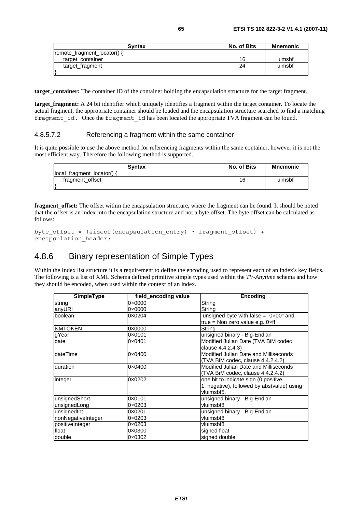| <b>Syntax</b>                 | No. of Bits | <b>Mnemonic</b> |
|-------------------------------|-------------|-----------------|
| $ $ remote fragment locator() |             |                 |
| target container              | 16          | uimsbf          |
| target_fragment               | 24          | uimsbf          |
|                               |             |                 |

**target\_container:** The container ID of the container holding the encapsulation structure for the target fragment.

**target fragment:** A 24 bit identifier which uniquely identifies a fragment within the target container. To locate the actual fragment, the appropriate container should be loaded and the encapsulation structure searched to find a matching fragment id. Once the fragment id has been located the appropriate TVA fragment can be found.

### 4.8.5.7.2 Referencing a fragment within the same container

It is quite possible to use the above method for referencing fragments within the same container, however it is not the most efficient way. Therefore the following method is supported.

| <b>Syntax</b>                 | No. of Bits | <b>Mnemonic</b> |
|-------------------------------|-------------|-----------------|
| $ local$ fragment $locator()$ |             |                 |
| fragment offset               | 16          | uimsbf          |
|                               |             |                 |

**fragment\_offset:** The offset within the encapsulation structure, where the fragment can be found. It should be noted that the offset is an index into the encapsulation structure and not a byte offset. The byte offset can be calculated as follows:

```
byte offset = (sizeof(encapsulation entry) * fragment offset) +
encapsulation header;
```
## 4.8.6 Binary representation of Simple Types

Within the Index list structure it is a requirement to define the encoding used to represent each of an index's key fields. The following is a list of XML Schema defined primitive simple types used within the *TV-Anytime* schema and how they should be encoded, when used within the context of an index.

| <b>SimpleType</b>  | field encoding value | <b>Encoding</b>                                |
|--------------------|----------------------|------------------------------------------------|
| string             | $0 \times 0000$      | String                                         |
| anyURI             | $0 \times 0000$      | String                                         |
| boolean            | 0×0204               | unsigned byte with false = $"0 \times 00"$ and |
|                    |                      | true = Non zero value e.g. $0 \times ff$       |
| <b>NMTOKEN</b>     | $0 \times 0000$      | String                                         |
| gYear              | 0×0101               | unsigned binary - Big-Endian                   |
| date               | 0×0401               | Modified Julian Date (TVA BiM codec            |
|                    |                      | clause 4.4.2.4.3)                              |
| dateTime           | $0 \times 0400$      | Modified Julian Date and Milliseconds          |
|                    |                      | (TVA BiM codec, clause 4.4.2.4.2)              |
| duration           | $0 \times 0400$      | Modified Julian Date and Milliseconds          |
|                    |                      | (TVA BiM codec, clause 4.4.2.4.2)              |
| integer            | $0 \times 0202$      | one bit to indicate sign (0: positive,         |
|                    |                      | 1: negative), followed by abs(value) using     |
|                    |                      | vluimsbf5.                                     |
| unsignedShort      | 0×0101               | unsigned binary - Big-Endian                   |
| unsignedLong       | 0×0203               | vluimsbf8                                      |
| unsignedInt        | $0 \times 0201$      | unsigned binary - Big-Endian                   |
| nonNegativeInteger | $0 \times 0203$      | vluimsbf8                                      |
| positiveInteger    | $0 \times 0203$      | vluimsbf8                                      |
| float              | 0×0300               | signed float                                   |
| double             | 0×0302               | signed double                                  |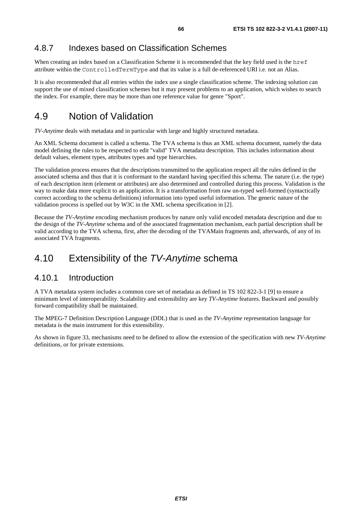## 4.8.7 Indexes based on Classification Schemes

When creating an index based on a Classification Scheme it is recommended that the key field used is the href attribute within the ControlledTermType and that its value is a full de-referenced URI i.e. not an Alias.

It is also recommended that all entries within the index use a single classification scheme. The indexing solution can support the use of mixed classification schemes but it may present problems to an application, which wishes to search the index. For example, there may be more than one reference value for genre "Sport".

## 4.9 Notion of Validation

*TV-Anytime* deals with metadata and in particular with large and highly structured metadata.

An XML Schema document is called a schema. The TVA schema is thus an XML schema document, namely the data model defining the rules to be respected to edit "valid" TVA metadata description. This includes information about default values, element types, attributes types and type hierarchies.

The validation process ensures that the descriptions transmitted to the application respect all the rules defined in the associated schema and thus that it is conformant to the standard having specified this schema. The nature (i.e. the type) of each description item (element or attributes) are also determined and controlled during this process. Validation is the way to make data more explicit to an application. It is a transformation from raw un-typed well-formed (syntactically correct according to the schema definitions) information into typed useful information. The generic nature of the validation process is spelled out by W3C in the XML schema specification in [2].

Because the *TV-Anytime* encoding mechanism produces by nature only valid encoded metadata description and due to the design of the *TV-Anytime* schema and of the associated fragmentation mechanism, each partial description shall be valid according to the TVA schema, first, after the decoding of the TVAMain fragments and, afterwards, of any of its associated TVA fragments.

## 4.10 Extensibility of the *TV-Anytime* schema

### 4.10.1 Introduction

A TVA metadata system includes a common core set of metadata as defined in TS 102 822-3-1 [9] to ensure a minimum level of interoperability. Scalability and extensibility are key *TV-Anytime* features. Backward and possibly forward compatibility shall be maintained.

The MPEG-7 Definition Description Language (DDL) that is used as the *TV-Anytime* representation language for metadata is the main instrument for this extensibility.

As shown in figure 33, mechanisms need to be defined to allow the extension of the specification with new *TV-Anytime* definitions, or for private extensions.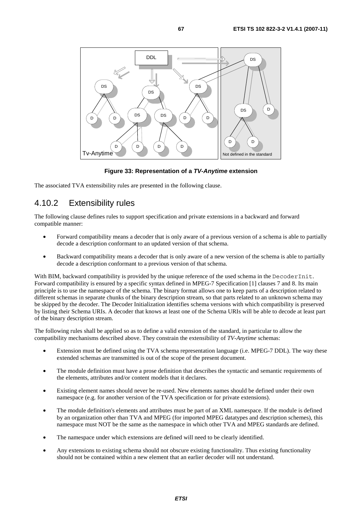

**Figure 33: Representation of a** *TV-Anytime* **extension** 

The associated TVA extensibility rules are presented in the following clause.

## 4.10.2 Extensibility rules

The following clause defines rules to support specification and private extensions in a backward and forward compatible manner:

- Forward compatibility means a decoder that is only aware of a previous version of a schema is able to partially decode a description conformant to an updated version of that schema.
- Backward compatibility means a decoder that is only aware of a new version of the schema is able to partially decode a description conformant to a previous version of that schema.

With BIM, backward compatibility is provided by the unique reference of the used schema in the DecoderInit. Forward compatibility is ensured by a specific syntax defined in MPEG-7 Specification [1] clauses 7 and 8. Its main principle is to use the namespace of the schema. The binary format allows one to keep parts of a description related to different schemas in separate chunks of the binary description stream, so that parts related to an unknown schema may be skipped by the decoder. The Decoder Initialization identifies schema versions with which compatibility is preserved by listing their Schema URIs. A decoder that knows at least one of the Schema URIs will be able to decode at least part of the binary description stream.

The following rules shall be applied so as to define a valid extension of the standard, in particular to allow the compatibility mechanisms described above. They constrain the extensibility of *TV-Anytime* schemas:

- Extension must be defined using the TVA schema representation language (i.e. MPEG-7 DDL). The way these extended schemas are transmitted is out of the scope of the present document.
- The module definition must have a prose definition that describes the syntactic and semantic requirements of the elements, attributes and/or content models that it declares.
- Existing element names should never be re-used. New elements names should be defined under their own namespace (e.g. for another version of the TVA specification or for private extensions).
- The module definition's elements and attributes must be part of an XML namespace. If the module is defined by an organization other than TVA and MPEG (for imported MPEG datatypes and description schemes), this namespace must NOT be the same as the namespace in which other TVA and MPEG standards are defined.
- The namespace under which extensions are defined will need to be clearly identified.
- Any extensions to existing schema should not obscure existing functionality. Thus existing functionality should not be contained within a new element that an earlier decoder will not understand.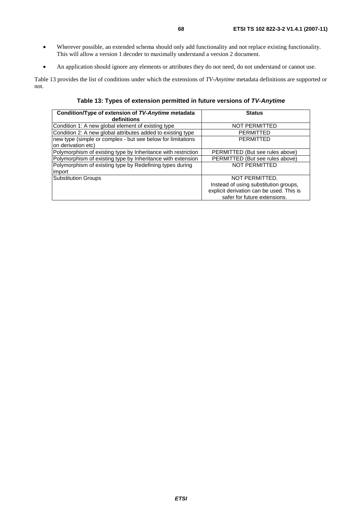- Wherever possible, an extended schema should only add functionality and not replace existing functionality. This will allow a version 1 decoder to maximally understand a version 2 document.
- An application should ignore any elements or attributes they do not need, do not understand or cannot use.

Table 13 provides the list of conditions under which the extensions of *TV-Anytime* metadata definitions are supported or not.

**Table 13: Types of extension permitted in future versions of** *TV-Anytime*

| Condition/Type of extension of TV-Anytime metadata<br>definitions                 | <b>Status</b>                                                                                                     |
|-----------------------------------------------------------------------------------|-------------------------------------------------------------------------------------------------------------------|
| Condition 1: A new global element of existing type                                | <b>NOT PERMITTED</b>                                                                                              |
| Condition 2: A new global attributes added to existing type                       | <b>PERMITTED</b>                                                                                                  |
| new type (simple or complex - but see below for limitations<br>on derivation etc) | <b>PERMITTED</b>                                                                                                  |
| Polymorphism of existing type by Inheritance with restriction                     | PERMITTED (But see rules above)                                                                                   |
| Polymorphism of existing type by Inheritance with extension                       | PERMITTED (But see rules above)                                                                                   |
| Polymorphism of existing type by Redefining types during<br>import                | <b>NOT PERMITTED</b>                                                                                              |
| <b>Substitution Groups</b>                                                        | NOT PERMITTED.                                                                                                    |
|                                                                                   | Instead of using substitution groups,<br>explicit derivation can be used. This is<br>safer for future extensions. |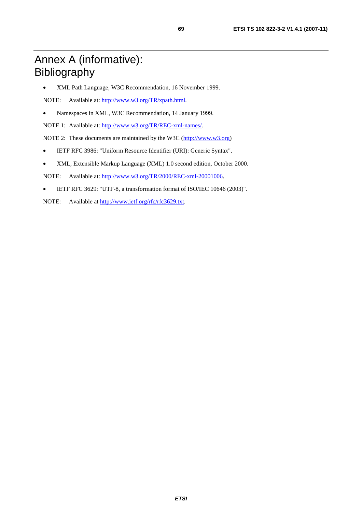## Annex A (informative): Bibliography

• XML Path Language, W3C Recommendation, 16 November 1999.

NOTE: Available at:<http://www.w3.org/TR/xpath.html>.

• Namespaces in XML, W3C Recommendation, 14 January 1999.

NOTE 1: Available at: [http://www.w3.org/TR/REC-xml-names/.](http://www.w3.org/TR/REC-xml-names/)

NOTE 2: These documents are maintained by the W3C [\(http://www.w3.org\)](http://www.w3.org/)

- IETF RFC 3986: "Uniform Resource Identifier (URI): Generic Syntax".
- XML, Extensible Markup Language (XML) 1.0 second edition, October 2000.

NOTE: Available at:<http://www.w3.org/TR/2000/REC-xml-20001006>.

- IETF RFC 3629: "UTF-8, a transformation format of ISO/IEC 10646 (2003)".
- NOTE: Available at [http://www.ietf.org/rfc/rfc3629.txt.](http://www.ietf.org/rfc/rfc3629.txt)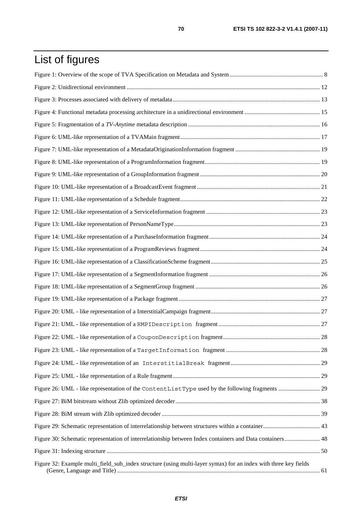# List of figures

| Figure 30: Schematic representation of interrelationship between Index containers and Data containers 48         |  |
|------------------------------------------------------------------------------------------------------------------|--|
|                                                                                                                  |  |
| Figure 32: Example multi_field_sub_index structure (using multi-layer syntax) for an index with three key fields |  |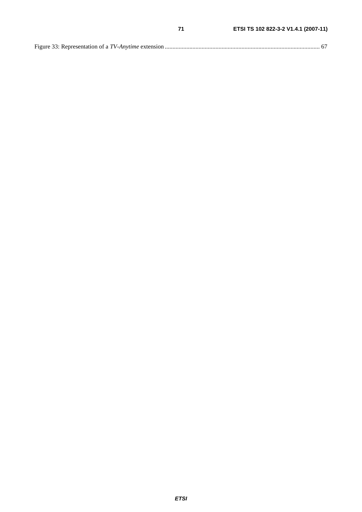|--|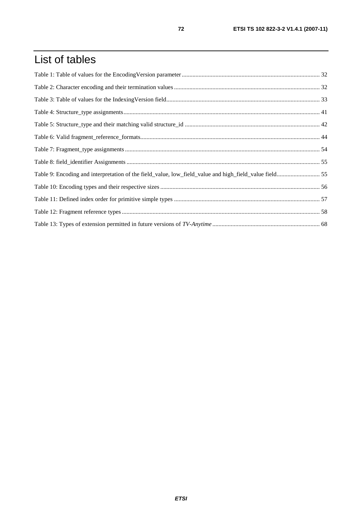## List of tables

| Table 9: Encoding and interpretation of the field_value, low_field_value and high_field_value field55 |  |
|-------------------------------------------------------------------------------------------------------|--|
|                                                                                                       |  |
|                                                                                                       |  |
|                                                                                                       |  |
|                                                                                                       |  |